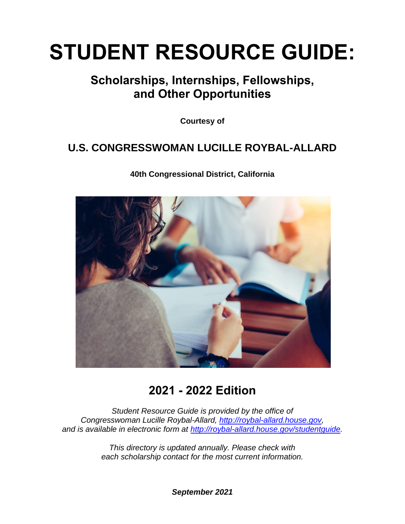# **STUDENT RESOURCE GUIDE:**

### **Scholarships, Internships, Fellowships, and Other Opportunities**

**Courtesy of**

### **U.S. CONGRESSWOMAN LUCILLE ROYBAL-ALLARD**

**40th Congressional District, California**



### **2021 - 2022 Edition**

*Student Resource Guide is provided by the office of Congresswoman Lucille Roybal-Allard, [http://roybal-allard.house.gov,](http://roybal-allard.house.gov/) and is available in electronic form at [http://roybal-allard.house.gov/studentguide.](http://roybal-allard.house.gov/studentguide)*

> *This directory is updated annually. Please check with each scholarship contact for the most current information.*

> > *September 2021*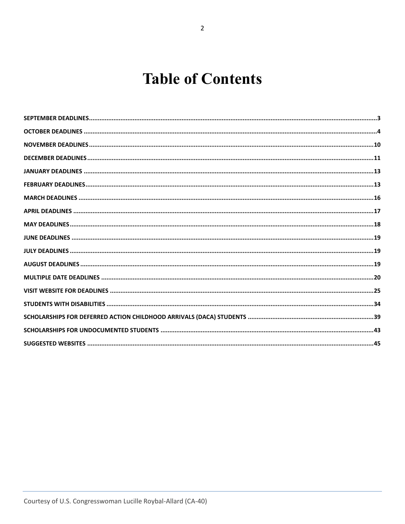## **Table of Contents**

<span id="page-1-0"></span>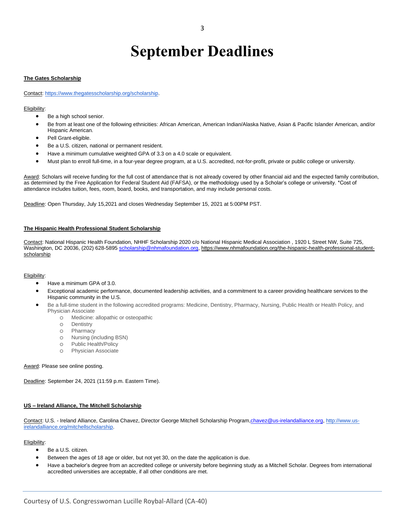### **September Deadlines**

#### **The Gates Scholarship**

Contact: [https://www.thegatesscholarship.org/scholarship.](https://www.thegatesscholarship.org/scholarship)

#### Eligibility:

- Be a high school senior.
- Be from at least one of the following ethnicities: African American, American Indian/Alaska Native, Asian & Pacific Islander American, and/or Hispanic American.
- Pell Grant-eligible.
- Be a U.S. citizen, national or permanent resident.
- Have a minimum cumulative weighted GPA of 3.3 on a 4.0 scale or equivalent.
- Must plan to enroll full-time, in a four-year degree program, at a U.S. accredited, not-for-profit, private or public college or university.

Award: Scholars will receive funding for the full cost of attendance that is not already covered by other financial aid and the expected family contribution, as determined by the Free Application for Federal Student Aid (FAFSA), or the methodology used by a Scholar's college or university. \*Cost of attendance includes tuition, fees, room, board, books, and transportation, and may include personal costs.

Deadline: Open Thursday, July 15,2021 and closes Wednesday September 15, 2021 at 5:00PM PST.

#### **The Hispanic Health Professional Student Scholarship**

Contact: National Hispanic Health Foundation, NHHF Scholarship 2020 c/o National Hispanic Medical Association , 1920 L Street NW, Suite 725, Washington, DC 20036, (202) 628-5895 [scholarship@nhmafoundation.org,](mailto:scholarship@nhmafoundation.org) [https://www.nhmafoundation.org/the-hispanic-health-professional-student](https://www.nhmafoundation.org/the-hispanic-health-professional-student-scholarship)[scholarship](https://www.nhmafoundation.org/the-hispanic-health-professional-student-scholarship)

#### Eligibility:

- Have a minimum GPA of 3.0.
- Exceptional academic performance, documented leadership activities, and a commitment to a career providing healthcare services to the Hispanic community in the U.S.
- Be a full-time student in the following accredited programs: Medicine, Dentistry, Pharmacy, Nursing, Public Health or Health Policy, and Physician Associate
	- o Medicine: allopathic or osteopathic
	- o Dentistry
	- o Pharmacy
	- o Nursing (including BSN)
	- o Public Health/Policy
	- o Physician Associate

#### Award: Please see online posting.

Deadline: September 24, 2021 (11:59 p.m. Eastern Time).

#### **US – Ireland Alliance, The Mitchell Scholarship**

Contact: U.S. - Ireland Alliance, Carolina Chavez, Director George Mitchell Scholarship Program[,chavez@us-irelandalliance.org,](mailto:chavez@us-irelandalliance.org) [http://www.us](http://www.us-irelandalliance.org/mitchellscholarship)[irelandalliance.org/mitchellscholarship](http://www.us-irelandalliance.org/mitchellscholarship)[.](http://www.us-irelandalliance.org/content/43/en/Applying%20to%20the%20George%20Mitchell%20Scholarship%20Program.html)

- Be a U.S. citizen.
- Between the ages of 18 age or older, but not yet 30, on the date the application is due.
- Have a bachelor's degree from an accredited college or university before beginning study as a Mitchell Scholar. Degrees from international accredited universities are acceptable, if all other conditions are met.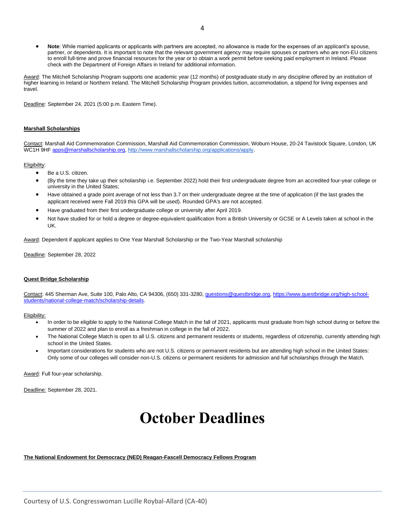• **Note**: While married applicants or applicants with partners are accepted, no allowance is made for the expenses of an applicant's spouse, partner, or dependents. It is important to note that the relevant government agency may require spouses or partners who are non-EU citizens to enroll full-time and prove financial resources for the year or to obtain a work permit before seeking paid employment in Ireland. Please check with the Department of Foreign Affairs in Ireland for additional information.

Award: The Mitchell Scholarship Program supports one academic year (12 months) of postgraduate study in any discipline offered by an institution of higher learning in Ireland or Northern Ireland. The Mitchell Scholarship Program provides tuition, accommodation, a stipend for living expenses and travel.

Deadline: September 24, 2021 (5:00 p.m. Eastern Time).

#### **Marshall Scholarships**

Contact: Marshall Aid Commemoration Commission, Marshall Aid Commemoration Commission, Woburn House, 20-24 Tavistock Square, London, UK WC1H 9HF [apps@marshallscholarship.org,](mailto:apps@marshallscholarship.org) [http://www.marshallscholarship.org/applications/apply.](http://www.marshallscholarship.org/applications/apply) 

#### Eligibility:

- Be a U.S. citizen.
- (By the time they take up their scholarship i.e. September 2022) hold their first undergraduate degree from an accredited four-year college or university in the United States;
- Have obtained a grade point average of not less than 3.7 on their undergraduate degree at the time of application (if the last grades the applicant received were Fall 2019 this GPA will be used). Rounded GPA's are not accepted.
- Have graduated from their first undergraduate college or university after April 2019.
- Not have studied for or hold a degree or degree-equivalent qualification from a British University or GCSE or A Levels taken at school in the UK.

Award: Dependent if applicant applies to One Year Marshall Scholarship or the Two-Year Marshall scholarship

Deadline: September 28, 2022

#### **Quest Bridge Scholarship**

Contact: 445 Sherman Ave, Suite 100, Palo Alto, CA 94306, (650) 331-3280[, questions@questbridge.org,](mailto:questions@questbridge.org) [https://www.questbridge.org/high-school](https://www.questbridge.org/high-school-students/national-college-match/scholarship-details)[students/national-college-match/scholarship-details.](https://www.questbridge.org/high-school-students/national-college-match/scholarship-details)

#### Eligibility:

- In order to be eligible to apply to the National College Match in the fall of 2021, applicants must graduate from high school during or before the summer of 2022 and plan to enroll as a freshman in college in the fall of 2022.
- The National College Match is open to all U.S. citizens and permanent residents or students, regardless of citizenship, currently attending high school in the United States.
- Important considerations for students who are not U.S. citizens or permanent residents but are attending high school in the United States: Only some of our colleges will consider non-U.S. citizens or permanent residents for admission and full scholarships through the Match.

Award: Full four-year scholarship.

<span id="page-3-0"></span>Deadline: September 28, 2021.

### **October Deadlines**

#### **The National Endowment for Democracy (NED) Reagan-Fascell Democracy Fellows Program**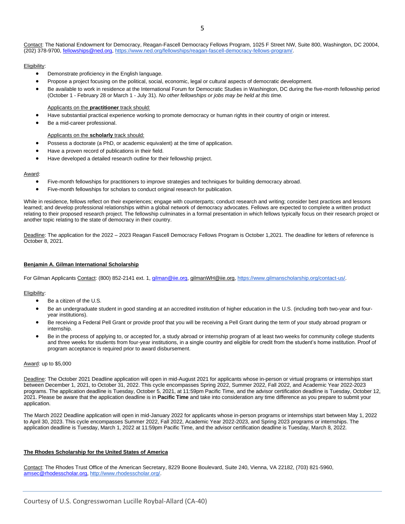#### Eligibility:

- Demonstrate proficiency in the English language.
- Propose a project focusing on the political, social, economic, legal or cultural aspects of democratic development.
- Be available to work in residence at the International Forum for Democratic Studies in Washington, DC during the five-month fellowship period (October 1 - February 28 or March 1 - July 31). *No other fellowships or jobs may be held at this time.*

#### Applicants on the **practitioner** track should:

- Have substantial practical experience working to promote democracy or human rights in their country of origin or interest.
- Be a mid-career professional.

#### Applicants on the **scholarly** track should:

- Possess a doctorate (a PhD, or academic equivalent) at the time of application.
- Have a proven record of publications in their field.
- Have developed a detailed research outline for their fellowship project.

#### Award:

- Five-month fellowships for practitioners to improve strategies and techniques for building democracy abroad.
- Five-month fellowships for scholars to conduct original research for publication.

While in residence, fellows reflect on their experiences; engage with counterparts; conduct research and writing; consider best practices and lessons learned; and develop professional relationships within a global network of democracy advocates. Fellows are expected to complete a written product relating to their proposed research project. The fellowship culminates in a formal presentation in which fellows typically focus on their research project or another topic relating to the state of democracy in their country.

Deadline: The application for the 2022 - 2023 Reagan Fascell Democracy Fellows Program is October 1,2021. The deadline for letters of reference is October 8, 2021.

#### **Benjamin A. Gilman International Scholarship**

For Gilman Applicants Contact: (800) 852-2141 ext. 1, [gilman@iie.org,](mailto:gilman@iie.org) [gilmanWH@iie.org,](mailto:gilmanWH@iie.org) [https://www.gilmanscholarship.org/contact-us/.](https://www.gilmanscholarship.org/contact-us/)

#### Eligibility:

- Be a citizen of the U.S.
- Be an undergraduate student in good standing at an accredited institution of higher education in the U.S. (including both two-year and fouryear institutions).
- Be receiving a Federal Pell Grant or provide proof that you will be receiving a Pell Grant during the term of your study abroad program or internship.
- Be in the process of applying to, or accepted for, a study abroad or internship program of at least two weeks for community college students and three weeks for students from four-year institutions, in a single country and eligible for credit from the student's home institution. Proof of program acceptance is required prior to award disbursement.

#### Award: up to \$5,000

Deadline: The October 2021 Deadline application will open in mid-August 2021 for applicants whose in-person or virtual programs or internships start between December 1, 2021, to October 31, 2022. This cycle encompasses Spring 2022, Summer 2022, Fall 2022, and Academic Year 2022-2023 programs. The application deadline is Tuesday, October 5, 2021, at 11:59pm Pacific Time, and the advisor certification deadline is Tuesday, October 12, 2021. Please be aware that the application deadline is in **Pacific Time** and take into consideration any time difference as you prepare to submit your application.

The March 2022 Deadline application will open in mid-January 2022 for applicants whose in-person programs or internships start between May 1, 2022 to April 30, 2023. This cycle encompasses Summer 2022, Fall 2022, Academic Year 2022-2023, and Spring 2023 programs or internships. The application deadline is Tuesday, March 1, 2022 at 11:59pm Pacific Time, and the advisor certification deadline is Tuesday, March 8, 2022.

#### **The Rhodes Scholarship for the United States of America**

Contact: The Rhodes Trust Office of the American Secretary, 8229 Boone Boulevard, Suite 240, Vienna, VA 22182, (703) 821-5960, [amsec@rhodesscholar.org,](mailto:amsec@rhodesscholar.org) [http://www.rhodesscholar.org/.](http://www.rhodesscholar.org/)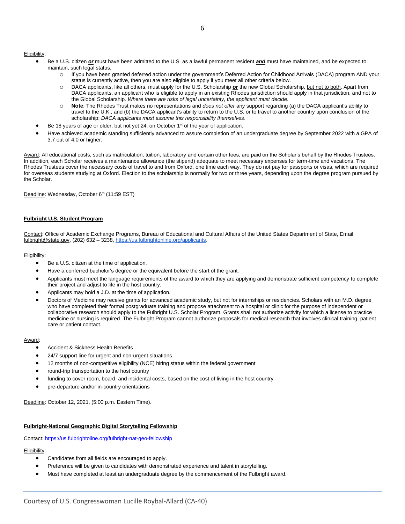- Be a U.S. citizen *or* must have been admitted to the U.S. as a lawful permanent resident *and* must have maintained, and be expected to maintain, such legal status.
	- o If you have been granted deferred action under the government's Deferred Action for Childhood Arrivals (DACA) program AND your status is currently active, then you are also eligible to apply if you meet all other criteria below.
	- o DACA applicants, like all others, must apply for the U.S. Scholarship *or* the new Global Scholarship, but not to both. Apart from DACA applicants, an applicant who is eligible to apply in an existing Rhodes jurisdiction should apply in that jurisdiction, and not to the Global Scholarship. *Where there are risks of legal uncertainty, the applicant must decide*.
	- o **Note**: The Rhodes Trust makes no representations and *does not offer* any support regarding (a) the DACA applicant's ability to travel to the U.K., and (b) the DACA applicant's ability to return to the U.S. or to travel to another country upon conclusion of the scholarship; *DACA applicants must assume this responsibility themselves*.
- Be 18 years of age or older, but not yet 24, on October  $1<sup>st</sup>$  of the year of application.
- Have achieved academic standing sufficiently advanced to assure completion of an undergraduate degree by September 2022 with a GPA of 3.7 out of 4.0 or higher.

Award: All educational costs, such as matriculation, tuition, laboratory and certain other fees, are paid on the Scholar's behalf by the Rhodes Trustees. In addition, each Scholar receives a maintenance allowance (the stipend) adequate to meet necessary expenses for term-time and vacations. The Rhodes Trustees cover the necessary costs of travel to and from Oxford, one time each way. They do not pay for passports or visas, which are required for overseas students studying at Oxford. Election to the scholarship is normally for two or three years, depending upon the degree program pursued by the Scholar.

Deadline: Wednesday, October 6<sup>th</sup> (11:59 EST)

#### **Fulbright U.S. Student Program**

Contact: Office of Academic Exchange Programs, Bureau of Educational and Cultural Affairs of the United States Department of State, Email [fulbright@state.gov,](mailto:fulbright@state.gov) (202) 632 – 3238, [https://us.fulbrightonline.org/applicants.](https://us.fulbrightonline.org/applicants)

#### Eligibility:

- Be a U.S. citizen at the time of application.
- Have a conferred bachelor's degree or the equivalent before the start of the grant.
- Applicants must meet the language requirements of the award to which they are applying and demonstrate sufficient competency to complete their project and adjust to life in the host country.
- Applicants may hold a J.D. at the time of application.
- Doctors of Medicine may receive grants for advanced academic study, but not for internships or residencies. Scholars with an M.D. degree who have completed their formal postgraduate training and propose attachment to a hospital or clinic for the purpose of independent or collaborative research should apply to the [Fulbright U.S. Scholar Program.](https://www.cies.org/) Grants shall not authorize activity for which a license to practice medicine or nursing is required. The Fulbright Program cannot authorize proposals for medical research that involves clinical training, patient care or patient contact.

#### Award:

- Accident & Sickness Health Benefits
- 24/7 support line for urgent and non-urgent situations
- 12 months of non-competitive eligibility (NCE) hiring status within the federal government
- round-trip transportation to the host country
- funding to cover room, board, and incidental costs, based on the cost of living in the host country
- pre-departure and/or in-country orientations

Deadline: October 12, 2021, (5:00 p.m. Eastern Time).

#### **Fulbright-National Geographic Digital Storytelling Fellowship**

Contact:<https://us.fulbrightoline.org/fulbright-nat-geo-fellowship>

- Candidates from all fields are encouraged to apply.
- Preference will be given to candidates with demonstrated experience and talent in storytelling.
- Must have completed at least an undergraduate degree by the commencement of the Fulbright award.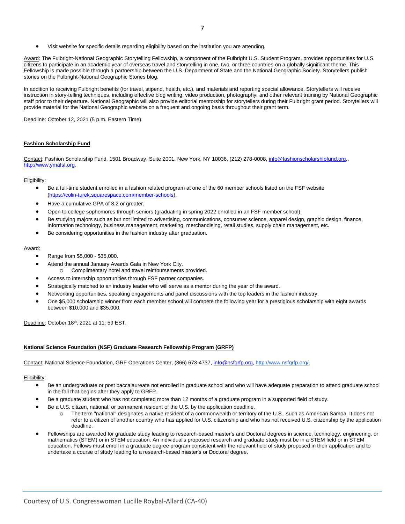• Visit website for specific details regarding eligibility based on the institution you are attending.

Award: The Fulbright-National Geographic Storytelling Fellowship, a component of the Fulbright U.S. Student Program, provides opportunities for U.S. citizens to participate in an academic year of overseas travel and storytelling in one, two, or three countries on a globally significant theme. This Fellowship is made possible through a partnership between the U.S. Department of State and the National Geographic Society. Storytellers publish stories on the Fulbright-National Geographic Stories blog.

In addition to receiving Fulbright benefits (for travel, stipend, health, etc.), and materials and reporting special allowance, Storytellers will receive instruction in story-telling techniques, including effective blog writing, video production, photography, and other relevant training by National Geographic staff prior to their departure. National Geographic will also provide editorial mentorship for storytellers during their Fulbright grant period. Storytellers will provide material for the National Geographic website on a frequent and ongoing basis throughout their grant term.

Deadline: October 12, 2021 (5 p.m. Eastern Time).

#### **Fashion Scholarship Fund**

Contact: Fashion Scholarship Fund, 1501 Broadway, Suite 2001, New York, NY 10036, (212) 278-0008, [info@fashionscholarshipfund.org,](mailto:info@fashionscholarshipfund.org), [http://www.ymafsf.org.](http://www.ymafsf.org/)

#### Eligibility:

- Be a full-time student enrolled in a fashion related program at one of the 60 member schools listed on the FSF website [\(https://colin-turek.squarespace.com/member-schools\)](https://colin-turek.squarespace.com/member-schools).
- Have a cumulative GPA of 3.2 or greater.
- Open to college sophomores through seniors (graduating in spring 2022 enrolled in an FSF member school).
- Be studying majors such as but not limited to advertising, communications, consumer science, apparel design, graphic design, finance, information technology, business management, marketing, merchandising, retail studies, supply chain management, etc.
- Be considering opportunities in the fashion industry after graduation.

#### Award:

- Range from \$5,000 \$35,000.
- Attend the annual January Awards Gala in New York City.
- o Complimentary hotel and travel reimbursements provided.
- Access to internship opportunities through FSF partner companies.
- Strategically matched to an industry leader who will serve as a mentor during the year of the award.
- Networking opportunities, speaking engagements and panel discussions with the top leaders in the fashion industry.
- One \$5,000 scholarship winner from each member school will compete the following year for a prestigious scholarship with eight awards between \$10,000 and \$35,000.

Deadline: October 18<sup>th</sup>, 2021 at 11: 59 EST.

#### **National Science Foundation (NSF) Graduate Research Fellowship Program (GRFP)**

Contact: National Science Foundation, GRF Operations Center, (866) 673-4737, [info@nsfgrfp.org,](mailto:info@nsfgrfp.org) [http://www.nsfgrfp.org/.](http://www.nsfgrfp.org/)

- Be an undergraduate or post baccalaureate not enrolled in graduate school and who will have adequate preparation to attend graduate school in the fall that begins after they apply to GRFP.
- Be a graduate student who has not completed more than 12 months of a graduate program in a supported field of study.
- Be a U.S. citizen, national, or permanent resident of the U.S. by the application deadline.
	- o The term "national" designates a native resident of a commonwealth or territory of the U.S., such as American Samoa. It does not refer to a citizen of another country who has applied for U.S. citizenship and who has not received U.S. citizenship by the application deadline.
- Fellowships are awarded for graduate study leading to research-based master's and Doctoral degrees in science, technology, engineering, or mathematics (STEM) or in STEM education. An individual's proposed research and graduate study must be in a STEM field or in STEM education. Fellows must enroll in a graduate degree program consistent with the relevant field of study proposed in their application and to undertake a course of study leading to a research-based master's or Doctoral degree.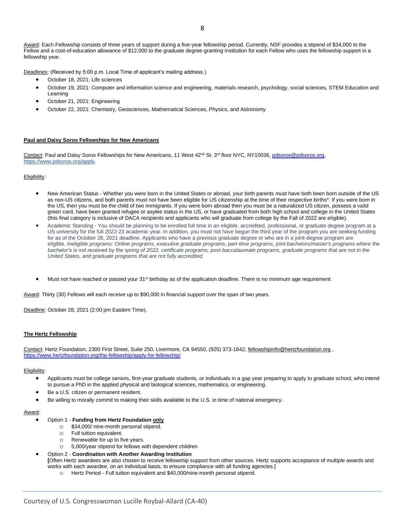Award: Each Fellowship consists of three years of support during a five-year fellowship period. Currently, NSF provides a stipend of \$34,000 to the Fellow and a cost-of-education allowance of \$12,000 to the graduate degree-granting institution for each Fellow who uses the fellowship support in a fellowship year.

Deadlines: (Received by 5:00 p.m. Local Time of applicant's mailing address.)

- October 18, 2021: Life sciences
- October 19, 2021: Computer and information science and engineering, materials research, psychology, social sciences, STEM Education and Learning
- October 21, 2021: Engineering
- October 22, 2021: Chemistry, Geosciences, Mathematical Sciences, Physics, and Astronomy

#### **Paul and Daisy Soros Fellowships for New Americans**

Contact: Paul and Daisy Soros Fellowships for New Americans, 11 West 42<sup>nd</sup> St. 3<sup>rd</sup> floor NYC, NY10036, pdsoros@pdsoros.org, [https://www.pdsoros.org/apply.](https://www.pdsoros.org/apply)

#### Eligibility:

- New American Status Whether you were born in the United States or abroad, your birth parents must have both been born outside of the US as non-US citizens, and both parents must not have been eligible for US citizenship at the time of their respective births\*. If you were born in the US, then you must be the child of two immigrants. If you were born abroad then you must be a naturalized US citizen, possess a valid green card, have been granted refugee or asylee status in the US, or have graduated from both high school and college in the United States (this final category is inclusive of DACA recipients and applicants who will graduate from college by the Fall of 2022 are eligible).
- Academic Standing You should be planning to be enrolled full time in an eligible, accredited, professional, or graduate degree program at a US university for the full 2022-23 academic year. In addition, you must not have begun the third year of the program you are seeking funding for as of the October 28, 2021 deadline. Applicants who have a previous graduate degree or who are in a joint-degree program are eligible. *Ineligible programs: Online programs, executive graduate programs, part-time programs, joint bachelors/master's programs where the bachelor's is not received by the spring of 2022, certificate programs, post-baccalaureate programs, graduate programs that are not in the United States, and graduate programs that are not fully accredited.*
- Must not have reached or passed your 31<sup>st</sup> birthday as of the application deadline. There is no minimum age requirement.

Award: Thirty (30) Fellows will each receive up to \$90,000 in financial support over the span of two years.

Deadline: October 28, 2021 (2:00 pm Eastern Time).

#### **The Hertz Fellowship**

Contact: Hertz Foundation, 2300 First Street, Suite 250, Livermore, CA 94550, (925) 373-1642, [fellowshipinfo@hertzfoundation.org](mailto:fellowshipinfo@hertzfoundation.org) , <https://www.hertzfoundation.org/the-fellowship/apply-for-fellowship/>

#### Eligibility:

- Applicants must be college seniors, first-year graduate students, or individuals in a gap year preparing to apply to graduate school, who intend to pursue a PhD in the applied physical and biological sciences, mathematics, or engineering.
- Be a U.S. citizen or permanent resident.
- Be willing to morally commit to making their skills available to the U.S. in time of national emergency.

#### Award:

#### • Option 1 - **Funding from Hertz Foundation only**

- o \$34,000/ nine-month personal stipend.
- o Full tuition equivalent.
- o Renewable for up to five years.
- 5,000/year stipend for fellows with dependent children

#### • Option 2 - **Coordination with Another Awarding Institution**

**[**Often Hertz awardees are also chosen to receive fellowship support from other sources. Hertz supports acceptance of multiple awards and works with each awardee, on an individual basis, to ensure compliance with all funding agencies.]

o Hertz Period - Full tuition equivalent and \$40,000/nine-month personal stipend.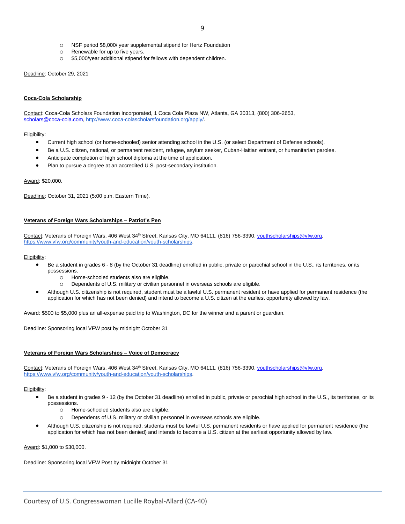- o NSF period \$8,000/ year supplemental stipend for Hertz Foundation
- o Renewable for up to five years.
- o \$5,000/year additional stipend for fellows with dependent children.

Deadline: October 29, 2021

#### **Coca-Cola Scholarship**

Contact: Coca-Cola Scholars Foundation Incorporated, 1 Coca Cola Plaza NW, Atlanta, GA 30313, (800) 306-2653, [scholars@coca-cola.com,](mailto:scholars@coca-cola.com) [http://www.coca-colascholarsfoundation.org/apply/.](http://www.coca-colascholarsfoundation.org/apply/)

#### Eligibility:

- Current high school (or home-schooled) senior attending school in the U.S. (or select Department of Defense schools).
- Be a U.S. citizen, national, or permanent resident, refugee, asylum seeker, Cuban-Haitian entrant, or humanitarian parolee.
- Anticipate completion of high school diploma at the time of application.
- Plan to pursue a degree at an accredited U.S. post-secondary institution.

Award: \$20,000.

Deadline: October 31, 2021 (5:00 p.m. Eastern Time).

#### **Veterans of Foreign Wars Scholarships – Patriot's Pen**

Contact: Veterans of Foreign Wars, 406 West 34<sup>th</sup> Street, Kansas City, MO 64111, (816) 756-3390, [youthscholarships@vfw.org](mailto:youthscholarships@vfw.org)[,](https://www.vfw.org/community/youth-and-education/youth-scholarships) [https://www.vfw.org/community/youth-and-education/youth-scholarships.](https://www.vfw.org/community/youth-and-education/youth-scholarships)

#### Eligibility:

- Be a student in grades 6 8 (by the October 31 deadline) enrolled in public, private or parochial school in the U.S., its territories, or its possessions.
	- o Home-schooled students also are eligible.
	- o Dependents of U.S. military or civilian personnel in overseas schools are eligible.
- Although U.S. citizenship is not required, student must be a lawful U.S. permanent resident or have applied for permanent residence (the application for which has not been denied) and intend to become a U.S. citizen at the earliest opportunity allowed by law.

Award: \$500 to \$5,000 plus an all-expense paid trip to Washington, DC for the winner and a parent or guardian.

Deadline: Sponsoring local VFW post by midnight October 31

#### **Veterans of Foreign Wars Scholarships – Voice of Democracy**

Contact: Veterans of Foreign Wars, 406 West 34<sup>th</sup> Street, Kansas City, MO 64111, (816) 756-3390, [youthscholarships@vfw.org](mailto:youthscholarships@vfw.org)[,](https://www.vfw.org/community/youth-and-education/youth-scholarships) [https://www.vfw.org/community/youth-and-education/youth-scholarships.](https://www.vfw.org/community/youth-and-education/youth-scholarships)

#### Eligibility:

- Be a student in grades 9 12 (by the October 31 deadline) enrolled in public, private or parochial high school in the U.S., its territories, or its possessions.
	- o Home-schooled students also are eligible.
	- o Dependents of U.S. military or civilian personnel in overseas schools are eligible.
- Although U.S. citizenship is not required, students must be lawful U.S. permanent residents or have applied for permanent residence (the application for which has not been denied) and intends to become a U.S. citizen at the earliest opportunity allowed by law.

Award: \$1,000 to \$30,000.

Deadline: Sponsoring local VFW Post by midnight October 31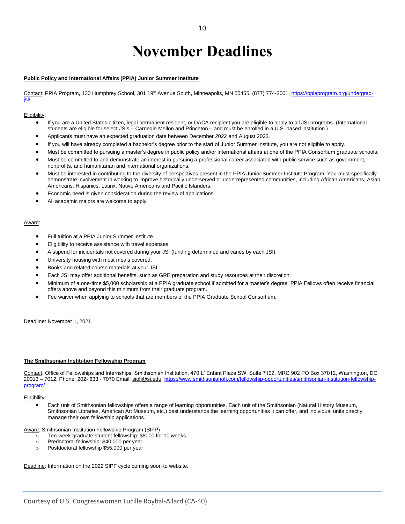# **November Deadlines**

#### <span id="page-9-0"></span>**Public Policy and International Affairs (PPIA) Junior Summer Institute**

Contact: PPIA Program, 130 Humphrey School, 301 19<sup>th</sup> Avenue South, Minneapolis, MN 55455, (877) 774-2001[, https://ppiaprogram.org/undergrad](https://ppiaprogram.org/undergrad-jsi/)[jsi/.](https://ppiaprogram.org/undergrad-jsi/)

#### Eligibility:

- If you are a United States citizen, legal permanent resident, or DACA recipient you are eligible to apply to all JSI programs. (International students are eligible for select JSIs – Carnegie Mellon and Princeton – and must be enrolled in a U.S. based institution.)
- Applicants must have an expected graduation date between December 2022 and August 2023.
- If you will have already completed a bachelor's degree prior to the start of Junior Summer Institute, you are not eligible to apply.
- Must be committed to pursuing a master's degree in public policy and/or international affairs at one of the PPIA Consortium graduate schools.
- Must be committed to and demonstrate an interest in pursuing a professional career associated with public service such as government, nonprofits, and humanitarian and international organizations.
- Must be interested in contributing to the diversity of perspectives present in the PPIA Junior Summer Institute Program. You must specifically demonstrate involvement in working to improve historically underserved or underrepresented communities, including African Americans, Asian Americans, Hispanics, Latinx, Native Americans and Pacific Islanders.
- Economic need is given consideration during the review of applications.
- All academic majors are welcome to apply!

#### Award:

- Full tuition at a PPIA Junior Summer Institute.
- Eligibility to receive assistance with travel expenses.
- A stipend for incidentals not covered during your JSI (funding determined and varies by each JSI).
- University housing with most meals covered.
- Books and related course materials at your JSI.
- Each JSI may offer additional benefits, such as GRE preparation and study resources at their discretion.
- Minimum of a one-time \$5,000 scholarship at a PPIA graduate school if admitted for a master's degree. PPIA Fellows often receive financial offers above and beyond this minimum from their graduate program.
- Fee waiver when applying to schools that are members of the PPIA Graduate School Consortium.

Deadline: November 1, 2021

#### **The Smithsonian Institution Fellowship Program**

Contact: Office of Fellowships and Internships, Smithsonian Institution, 470 L' Enfant Plaza SW, Suite 7102, MRC 902 PO Box 37012, Washington, DC 20013 – 7012, Phone: 202- 633 - 7070 Email: [siofi@si.edu,](mailto:siofi@si.edu) [https://www.smithsonianofi.com/fellowship-opportunities/smithsonian-institution-fellowship](https://www.smithsonianofi.com/fellowship-opportunities/smithsonian-institution-fellowship-program/)[program/](https://www.smithsonianofi.com/fellowship-opportunities/smithsonian-institution-fellowship-program/)

#### Eligibility:

• Each unit of Smithsonian fellowships offers a range of learning opportunities. Each unit of the Smithsonian (Natural History Museum, Smithsonian Libraries, American Art Museum, etc.) best understands the learning opportunities it can offer, and individual units directly manage their own fellowship applications.

Award: Smithsonian Institution Fellowship Program (SIFP)

- o Ten-week graduate student fellowship: \$8000 for 10 weeks
- o Predoctoral fellowship: \$40,000 per year
- o Postdoctoral fellowship \$55,000 per year

Deadline: Information on the 2022 SIPF cycle coming soon to website.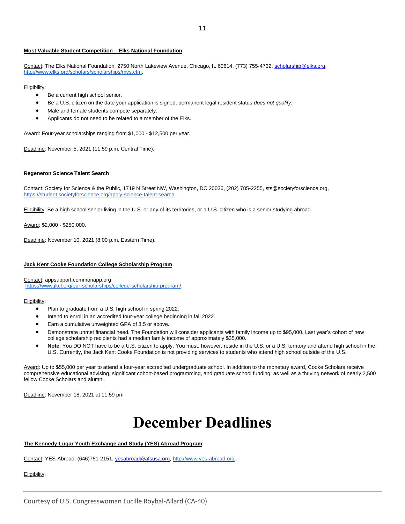#### **Most Valuable Student Competition – Elks National Foundation**

Contact: The Elks National Foundation, 2750 North Lakeview Avenue, Chicago, IL 60614, (773) 755-4732, [scholarship@elks.org,](mailto:scholarship@elks.org) [http://www.elks.org/scholars/scholarships/mvs.cfm.](http://www.elks.org/scholars/scholarships/mvs.cfm)

#### Eligibility:

- Be a current high school senior.
- Be a U.S. citizen on the date your application is signed; permanent legal resident status *does not qualify.*
- Male and female students compete separately.
- Applicants do not need to be related to a member of the Elks.

Award: Four-year scholarships ranging from \$1,000 - \$12,500 per year.

Deadline: November 5, 2021 (11:59 p.m. Central Time).

#### **Regeneron Science Talent Search**

Contact: Society for Science & the Public, 1719 N Street NW, Washington, DC 20036, (202) 785-2255, sts@societyforscience.or[g,](https://student.societyforscience.org/apply-science-talent-search) [https://student.societyforscience.org/apply-science-talent-search.](https://student.societyforscience.org/apply-science-talent-search)

Eligibility: Be a high school senior living in the U.S. or any of its territories, or a U.S. citizen who is a senior studying abroad.

Award: \$2,000 - \$250,000.

Deadline: November 10, 2021 (8:00 p.m. Eastern Time).

#### **Jack Kent Cooke Foundation College Scholarship Program**

Contact: appsupport.commonapp.org [https://www.jkcf.org/our-scholarships/college-scholarship-program/.](https://www.jkcf.org/our-scholarships/college-scholarship-program/)

#### Eligibility:

- Plan to graduate from a U.S. high school in spring 2022.
- Intend to enroll in an accredited four-year college beginning in fall 2022.
- Earn a cumulative unweighted GPA of 3.5 or above.
- Demonstrate unmet financial need. The Foundation will consider applicants with family income up to \$95,000. Last year's cohort of new college scholarship recipients had a median family income of approximately \$35,000.
- **Note**: You DO NOT have to be a U.S. citizen to apply. You must, however, reside in the U.S. or a U.S. territory and attend high school in the U.S. Currently, the Jack Kent Cooke Foundation is not providing services to students who attend high school outside of the U.S.

Award: Up to \$55,000 per year to attend a four-year accredited undergraduate school. In addition to the monetary award, Cooke Scholars receive comprehensive educational advising, significant cohort-based programming, and graduate school funding, as well as a thriving network of nearly 2,500 fellow Cooke Scholars and alumni.

<span id="page-10-0"></span>Deadline: November 18, 2021 at 11:59 pm

### **December Deadlines**

#### **The Kennedy-Lugar Youth Exchange and Study (YES) Abroad Program**

Contact: YES-Abroad, (646)751-2151, [yesabroad@afsusa.org,](mailto:yesabroad@afsusa.org) [http://www.yes-abroad.org.](http://www.yes-abroad.org/)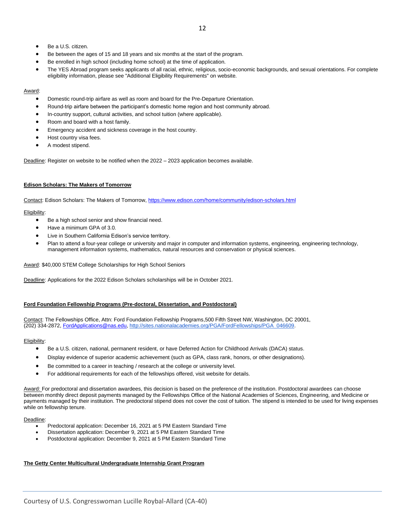- Be a U.S. citizen.
- Be between the ages of 15 and 18 years and six months at the start of the program.
- Be enrolled in high school (including home school) at the time of application.
- The YES Abroad program seeks applicants of all racial, ethnic, religious, socio-economic backgrounds, and sexual orientations. For complete eligibility information, please see "Additional Eligibility Requirements" on website.

#### Award:

- Domestic round-trip airfare as well as room and board for the Pre-Departure Orientation.
- Round-trip airfare between the participant's domestic home region and host community abroad.
- In-country support, cultural activities, and school tuition (where applicable).
- Room and board with a host family.
- Emergency accident and sickness coverage in the host country.
- Host country visa fees.
- A modest stipend.

Deadline: Register on website to be notified when the 2022 - 2023 application becomes available.

#### **Edison Scholars: The Makers of Tomorrow**

Contact: Edison Scholars: The Makers of Tomorrow,<https://www.edison.com/home/community/edison-scholars.html>

#### Eligibility:

- Be a high school senior and show financial need.
- Have a minimum GPA of 3.0.
- Live in Southern California Edison's service territory.
- Plan to attend a four-year college or university and major in computer and information systems, engineering, engineering technology, management information systems, mathematics, natural resources and conservation or physical sciences.

Award: \$40,000 STEM College Scholarships for High School Seniors

Deadline: Applications for the 2022 Edison Scholars scholarships will be in October 2021.

#### **Ford Foundation Fellowship Programs (Pre-doctoral, Dissertation, and Postdoctoral)**

Contact: The Fellowships Office, Attn: Ford Foundation Fellowship Programs,500 Fifth Street NW, Washington, DC 20001, (202) 334-2872, [FordApplications@nas.edu,](mailto:FordApplications@nas.edu) [http://sites.nationalacademies.org/PGA/FordFellowships/PGA\\_046609.](http://sites.nationalacademies.org/PGA/FordFellowships/PGA_046609)

#### Eligibility:

- Be a U.S. citizen, national, permanent resident, or have Deferred Action for Childhood Arrivals (DACA) status.
- Display evidence of superior academic achievement (such as GPA, class rank, honors, or other designations).
- Be committed to a career in teaching / research at the college or university level.
- For additional requirements for each of the fellowships offered, visit website for details.

Award: For predoctoral and dissertation awardees, this decision is based on the preference of the institution. Postdoctoral awardees can choose between monthly direct deposit payments managed by the Fellowships Office of the National Academies of Sciences, Engineering, and Medicine or payments managed by their institution. The predoctoral stipend does not cover the cost of tuition. The stipend is intended to be used for living expenses while on fellowship tenure.

#### Deadline:

- Predoctoral application: December 16, 2021 at 5 PM Eastern Standard Time
- Dissertation application: December 9, 2021 at 5 PM Eastern Standard Time
- Postdoctoral application: December 9, 2021 at 5 PM Eastern Standard Time

#### **The Getty Center Multicultural Undergraduate Internship Grant Program**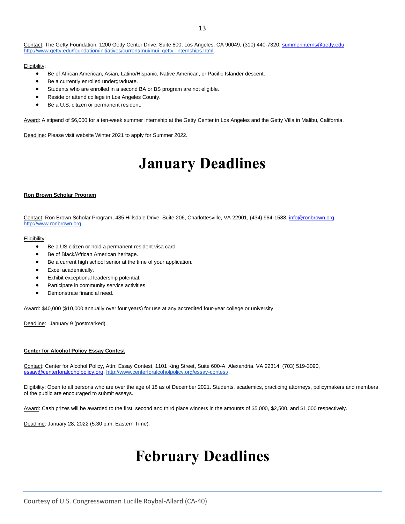#### Contact: The Getty Foundation, 1200 Getty Center Drive, Suite 800, Los Angeles, CA 90049, (310) 440-7320[, summerinterns@getty.edu,](mailto:summerinterns@getty.edu)  [http://www.getty.edu/foundation/initiatives/current/mui/mui\\_getty\\_internships.html.](http://www.getty.edu/foundation/initiatives/current/mui/mui_getty_internships.html)

#### Eligibility:

- Be of African American, Asian, Latino/Hispanic, Native American, or Pacific Islander descent.
- Be a currently enrolled undergraduate.
- Students who are enrolled in a second BA or BS program are not eligible.
- Reside or attend college in Los Angeles County.
- Be a U.S. citizen or permanent resident.

Award: A stipend of \$6,000 for a ten-week summer internship at the Getty Center in Los Angeles and the Getty Villa in Malibu, California.

<span id="page-12-0"></span>Deadline: Please visit website Winter 2021 to apply for Summer 2022.

### **January Deadlines**

#### **Ron Brown Scholar Program**

Contact: Ron Brown Scholar Program, 485 Hillsdale Drive, Suite 206, Charlottesville, VA 22901, (434) 964-1588, [info@ronbrown.org,](mailto:info@ronbrown.org) [http://www.ronbrown.org.](http://www.ronbrown.org/)

#### Eligibility:

- Be a US citizen or hold a permanent resident visa card.
- Be of Black/African American heritage.
- Be a current high school senior at the time of your application.
- Excel academically.
- Exhibit exceptional leadership potential.
- Participate in community service activities.
- Demonstrate financial need.

Award: \$40,000 (\$10,000 annually over four years) for use at any accredited four-year college or university.

Deadline: January 9 (postmarked).

#### **Center for Alcohol Policy Essay Contest**

Contact: Center for Alcohol Policy, Attn: Essay Contest, 1101 King Street, Suite 600-A, Alexandria, VA 22314, (703) 519-3090, [essay@centerforalcoholpolicy.org,](mailto:essay@centerforalcoholpolicy.org) [http://www.centerforalcoholpolicy.org/essay-contest/.](http://www.centerforalcoholpolicy.org/essay-contest/)

Eligibility: Open to all persons who are over the age of 18 as of December 2021. Students, academics, practicing attorneys, policymakers and members of the public are encouraged to submit essays.

Award: Cash prizes will be awarded to the first, second and third place winners in the amounts of \$5,000, \$2,500, and \$1,000 respectively.

<span id="page-12-1"></span>Deadline: January 28, 2022 (5:30 p.m. Eastern Time).

### **February Deadlines**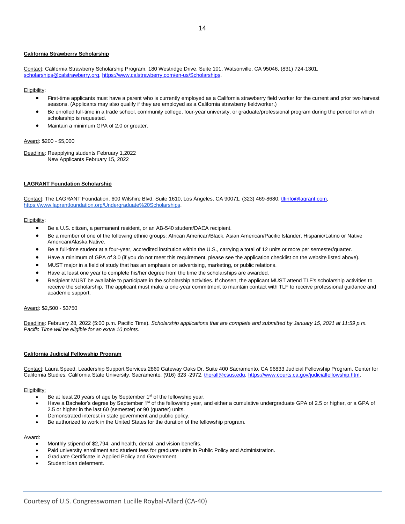#### **California Strawberry Scholarship**

Contact: California Strawberry Scholarship Program, 180 Westridge Drive, Suite 101, Watsonville, CA 95046, (831) 724-1301, [scholarships@calstrawberry.org,](mailto:scholarships@calstrawberry.org) [https://www.calstrawberry.com/en-us/Scholarships.](https://www.calstrawberry.com/en-us/Scholarships)

#### Eligibility:

- First-time applicants must have a parent who is currently employed as a California strawberry field worker for the current and prior two harvest seasons. (Applicants may also qualify if they are employed as a California strawberry fieldworker.)
- Be enrolled full-time in a trade school, community college, four-year university, or graduate/professional program during the period for which scholarship is requested.
- Maintain a minimum GPA of 2.0 or greater.

#### Award: \$200 - \$5,000

Deadline: Reapplying students February 1,2022 New Applicants February 15, 2022

#### **LAGRANT Foundation Scholarship**

Contact: The LAGRANT Foundation, 600 Wilshire Blvd. Suite 1610, Los Ángeles, CA 90071, (323) 469-8680, [tlfinfo@lagrant.com](mailto:tlfinfo@lagrant.com)[,](https://www.lagrantfoundation.org/Undergraduate%20Scholarships) [https://www.lagrantfoundation.org/Undergraduate%20Scholarships.](https://www.lagrantfoundation.org/Undergraduate%20Scholarships)

#### Eligibility:

- Be a U.S. citizen, a permanent resident, or an AB-540 student/DACA recipient.
- Be a member of one of the following ethnic groups: African American/Black, Asian American/Pacific Islander, Hispanic/Latino or Native American/Alaska Native.
- Be a full-time student at a four-year, accredited institution within the U.S., carrying a total of 12 units or more per semester/quarter.
- Have a minimum of GPA of 3.0 (if you do not meet this requirement, please see the application checklist on the website listed above).
- MUST major in a field of study that has an emphasis on advertising, marketing, or public relations.
- Have at least one year to complete his/her degree from the time the scholarships are awarded.
- Recipient MUST be available to participate in the scholarship activities. If chosen, the applicant MUST attend TLF's scholarship activities to receive the scholarship. The applicant must make a one-year commitment to maintain contact with TLF to receive professional guidance and academic support.

Award: \$2,500 - \$3750

Deadline: February 28, 2022 (5:00 p.m. Pacific Time). *Scholarship applications that are complete and submitted by January 15, 2021 at 11:59 p.m. Pacific Time will be eligible for an extra 10 points.* 

#### **California Judicial Fellowship Program**

Contact: Laura Speed, Leadership Support Services,2860 Gateway Oaks Dr. Suite 400 Sacramento, CA 96833 Judicial Fellowship Program, Center for California Studies, California State University, Sacramento, (916) 323 -2972[, thorall@csus.edu,](mailto:thorall@csus.edu) [https://www.courts.ca.gov/judicialfellowship.htm.](https://www.courts.ca.gov/judicialfellowship.htm)

#### Eligibility:

- Be at least 20 years of age by September 1<sup>st</sup> of the fellowship year.
- Have a Bachelor's degree by September 1<sup>st</sup> of the fellowship year, and either a cumulative undergraduate GPA of 2.5 or higher, or a GPA of 2.5 or higher in the last 60 (semester) or 90 (quarter) units.
- Demonstrated interest in state government and public policy.
- Be authorized to work in the United States for the duration of the fellowship program.

#### Award:

- Monthly stipend of \$2,794, and health, dental, and vision benefits.
- Paid university enrollment and student fees for graduate units in Public Policy and Administration.
- Graduate Certificate in Applied Policy and Government.
- Student loan deferment.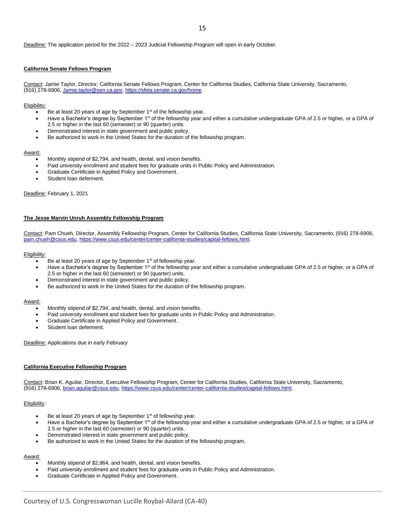Deadline: The application period for the 2022 – 2023 Judicial Fellowship Program will open in early October.

#### **California Senate Fellows Program**

Contact: Jamie Taylor, Director, California Senate Fellows Program, Center for California Studies, California State University, Sacramento, (916) 278-6906, [Jamie.taylor@sen.ca.gov,](mailto:Jamie.taylor@sen.ca.gov) [https://sfela.senate.ca.gov/home.](https://sfela.senate.ca.gov/home)

Eligibility:

- Be at least 20 years of age by September 1<sup>st</sup> of the fellowship year.
- Have a Bachelor's degree by September 1<sup>st</sup> of the fellowship year and either a cumulative undergraduate GPA of 2.5 or higher, or a GPA of 2.5 or higher in the last 60 (semester) or 90 (quarter) units.
- Demonstrated interest in state government and public policy.
- Be authorized to work in the United States for the duration of the fellowship program.

#### Award:

- Monthly stipend of \$2,794, and health, dental, and vision benefits.
- Paid university enrollment and student fees for graduate units in Public Policy and Administration.
- Graduate Certificate in Applied Policy and Government.
- Student loan deferment.

Deadline: February 1, 2021

#### **The Jesse Marvin Unruh Assembly Fellowship Program**

Contact: Pam Chueh, Director, Assembly Fellowship Program, Center for California Studies, California State University, Sacramento, (916) 278-6906, [pam.chueh@csus.edu,](mailto:pam.chueh@csus.edu) [https://www.csus.edu/center/center-california-studies/capital-fellows.html.](https://www.csus.edu/center/center-california-studies/capital-fellows.html)

#### Eligibility:

- Be at least 20 years of age by September 1<sup>st</sup> of fellowship year.
- Have a Bachelor's degree by September 1<sup>st</sup> of the fellowship year and either a cumulative undergraduate GPA of 2.5 or higher, or a GPA of 2.5 or higher in the last 60 (semester) or 90 (quarter) units.
- Demonstrated interest in state government and public policy.
- Be authorized to work in the United States for the duration of the fellowship program.

#### Award:

- Monthly stipend of \$2,794, and health, dental, and vision benefits.
- Paid university enrollment and student fees for graduate units in Public Policy and Administration.
- Graduate Certificate in Applied Policy and Government.
- Student loan deferment.

Deadline: Applications due in early February

#### **California Executive Fellowship Program**

Contact: Brian K. Aguilar, Director, Executive Fellowship Program, Center for California Studies, California State University, Sacramento, (916) 278-6906, [brian.aguilar@csus.edu,](mailto:brian.aguilar@csus.edu) [https://www.csus.edu/center/center-california-studies/capital-fellows.html.](https://www.csus.edu/center/center-california-studies/capital-fellows.html)

#### Eligibility:

- Be at least 20 years of age by September 1<sup>st</sup> of fellowship year.
- Have a Bachelor's degree by September 1st of the fellowship year and either a cumulative undergraduate GPA of 2.5 or higher, or a GPA of 2.5 or higher in the last 60 (semester) or 90 (quarter) units.
- Demonstrated interest in state government and public policy.
- Be authorized to work in the United States for the duration of the fellowship program.

#### Award:

- Monthly stipend of \$2,964, and health, dental, and vision benefits.
- Paid university enrollment and student fees for graduate units in Public Policy and Administration.
- Graduate Certificate in Applied Policy and Government.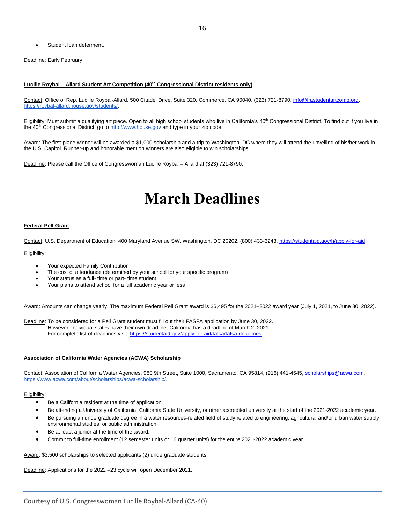Student loan deferment.

Deadline: Early February

#### **Lucille Roybal – Allard Student Art Competition (40th Congressional District residents only)**

Contact: Office of Rep. Lucille Roybal-Allard, 500 Citadel Drive, Suite 320, Commerce, CA 90040, (323) 721-8790[, info@lrastudentartcomp.org](mailto:info@lrastudentartcomp.org)[,](https://roybal-allard.house.gov/) [https://roybal-allard.house.gov/students/.](https://roybal-allard.house.gov/)

Eligibility: Must submit a qualifying art piece. Open to all high school students who live in California's 40<sup>th</sup> Congressional District. To find out if you live in the 40<sup>th</sup> Congressional District, go to [http://www.house.gov](http://www.house.gov/) and type in your zip code.

Award: The first-place winner will be awarded a \$1,000 scholarship and a trip to Washington, DC where they will attend the unveiling of his/her work in the U.S. Capitol. Runner-up and honorable mention winners are also eligible to win scholarships.

<span id="page-15-0"></span>Deadline: Please call the Office of Congresswoman Lucille Roybal - Allard at (323) 721-8790.

### **March Deadlines**

#### **Federal Pell Grant**

Contact: U.S. Department of Education, 400 Maryland Avenue SW, Washington, DC 20202, (800) 433-3243[, https://studentaid.gov/h/apply-for-aid](https://studentaid.gov/h/apply-for-aid)

Eligibility:

- Your expected Family Contribution
- The cost of attendance (determined by your school for your specific program)
- Your status as a full- time or part- time student
- Your plans to attend school for a full academic year or less

Award: Amounts can change yearly. The maximum Federal Pell Grant award is \$6,495 for the 2021–2022 award year (July 1, 2021, to June 30, 2022).

Deadline: To be considered for a Pell Grant student must fill out their FASFA application by June 30, 2022. However, individual states have their own deadline. California has a deadline of March 2, 2021. For complete list of deadlines visit[: https://studentaid.gov/apply-for-aid/fafsa/fafsa-deadlines](https://studentaid.gov/apply-for-aid/fafsa/fafsa-deadlines)

#### **Association of California Water Agencies (ACWA) Scholarship**

Contact: Association of California Water Agencies, 980 9th Street, Suite 1000, Sacramento, CA 95814, (916) 441-4545[, scholarships@acwa.com](mailto:scholarships@acwa.com)[,](https://www.acwa.com/about/scholarships/acwa-scholarship/) [https://www.acwa.com/about/scholarships/acwa-scholarship/.](https://www.acwa.com/about/scholarships/acwa-scholarship/)

Eligibility:

- Be a California resident at the time of application.
- Be attending a University of California, California State University, or other accredited university at the start of the 2021-2022 academic year.
- Be pursuing an undergraduate degree in a water resources-related field of study related to engineering, agricultural and/or urban water supply, environmental studies, or public administration.
- Be at least a junior at the time of the award.
- Commit to full-time enrollment (12 semester units or 16 quarter units) for the entire 2021-2022 academic year.

Award: \$3,500 scholarships to selected applicants (2) undergraduate students

Deadline: Applications for the 2022 –23 cycle will open December 2021.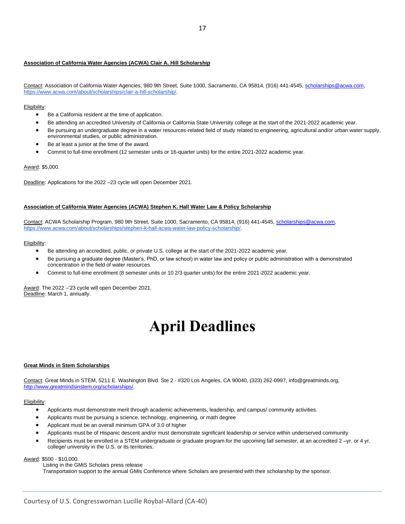#### **Association of California Water Agencies (ACWA) Clair A. Hill Scholarship**

Contact: Association of California Water Agencies, 980 9th Street, Suite 1000, Sacramento, CA 95814, (916) 441-4545[, scholarships@acwa.com](mailto:scholarships@acwa.com)[,](http://www.acwa.com/content/clair-hill-scholarship-0) [https://www.acwa.com/about/scholarships/clair-a-hill-scholarship/.](https://www.acwa.com/about/scholarships/clair-a-hill-scholarship/) 

#### Eligibility:

- Be a California resident at the time of application.
- Be attending an accredited University of California or California State University college at the start of the 2021-2022 academic year.
- Be pursuing an undergraduate degree in a water resources-related field of study related to engineering, agricultural and/or urban water supply, environmental studies, or public administration.
- Be at least a junior at the time of the award.
- Commit to full-time enrollment (12 semester units or 16-quarter units) for the entire 2021-2022 academic year.

#### Award: \$5,000.

Deadline: Applications for the 2022 –23 cycle will open December 2021.

#### **Association of California Water Agencies (ACWA) Stephen K. Hall Water Law & Policy Scholarship**

Contact: ACWA Scholarship Program, 980 9th Street, Suite 1000, Sacramento, CA 95814, (916) 441-4545[, scholarships@acwa.com](mailto:scholarships@acwa.com)[,](https://www.acwa.com/about/scholarships/stephen-k-hall-acwa-water-law-policy-scholarship/) [https://www.acwa.com/about/scholarships/stephen-k-hall-acwa-water-law-policy-scholarship/.](https://www.acwa.com/about/scholarships/stephen-k-hall-acwa-water-law-policy-scholarship/)

#### Eligibility:

- Be attending an accredited, public, or private U.S. college at the start of the 2021-2022 academic year.
- Be pursuing a graduate degree (Master's, PhD, or law school) in water law and policy or public administration with a demonstrated concentration in the field of water resources.
- Commit to full-time enrollment (8 semester units or 10 2/3 quarter units) for the entire 2021-2022 academic year.

<span id="page-16-0"></span>Award: The 2022 –'23 cycle will open December 2021. Deadline: March 1, annually.

### **April Deadlines**

#### **Great Minds in Stem Scholarships**

Contact: Great Minds in STEM, 5211 E. Washington Blvd. Ste 2 - #320 Los Angeles, CA 90040, (323) 262-0997, info@greatminds.org, [http://www.greatmindsinstem.org/scholarships/.](http://www.greatmindsinstem.org/scholarships/)

#### Eligibility:

- Applicants must demonstrate merit through academic achievements, leadership, and campus/ community activities.
- Applicants must be pursuing a science, technology, engineering, or math degree
- Applicant must be an overall minimum GPA of 3.0 of higher
- Applicants must be of Hispanic descent and/or must demonstrate significant leadership or service within underserved community
- Recipients must be enrolled in a STEM undergraduate or graduate program for the upcoming fall semester, at an accredited 2 -yr. or 4 yr. college/ university in the U.S. or its territories.

#### Award: \$500 - \$10,000.

 Listing in the GMiS Scholars press release Transportation support to the annual GMis Conference where Scholars are presented with their scholarship by the sponsor.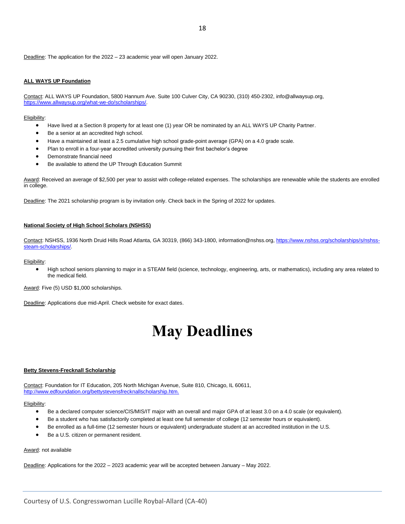Deadline: The application for the 2022 – 23 academic year will open January 2022.

#### **ALL WAYS UP Foundation**

Contact: ALL WAYS UP Foundation, 5800 Hannum Ave. Suite 100 Culver City, CA 90230, (310) 450-2302, info@allwaysup.org, [https://www.allwaysup.org/what-we-do/scholarships/.](https://www.allwaysup.org/what-we-do/scholarships/)

Eligibility:

- Have lived at a Section 8 property for at least one (1) year OR be nominated by an ALL WAYS UP Charity Partner.
- Be a senior at an accredited high school.
- Have a maintained at least a 2.5 cumulative high school grade-point average (GPA) on a 4.0 grade scale.
- Plan to enroll in a four-year accredited university pursuing their first bachelor's degree
- Demonstrate financial need
- Be available to attend the UP Through Education Summit

Award: Received an average of \$2,500 per year to assist with college-related expenses. The scholarships are renewable while the students are enrolled in college.

Deadline: The 2021 scholarship program is by invitation only. Check back in the Spring of 2022 for updates.

#### **National Society of High School Scholars (NSHSS)**

Contact: NSHSS, 1936 North Druid Hills Road Atlanta, GA 30319, (866) 343-1800, information@nshss.org[, https://www.nshss.org/scholarships/s/nshss](https://www.nshss.org/scholarships/s/nshss-steam-scholarships/)[steam-scholarships/.](https://www.nshss.org/scholarships/s/nshss-steam-scholarships/)

Eligibility:

• High school seniors planning to major in a STEAM field (science, technology, engineering, arts, or mathematics), including any area related to the medical field.

Award: Five (5) USD \$1,000 scholarships.

<span id="page-17-0"></span>Deadline: Applications due mid-April. Check website for exact dates.

### **May Deadlines**

#### **Betty Stevens-Frecknall Scholarship**

Contact: Foundation for IT Education, 205 North Michigan Avenue, Suite 810, Chicago, IL 60611, [http://www.edfoundation.org/bettystevensfrecknallscholarship.htm.](http://www.edfoundation.org/bettystevensfrecknallscholarship.htm) 

Eligibility:

- Be a declared computer science/CIS/MIS/IT major with an overall and major GPA of at least 3.0 on a 4.0 scale (or equivalent).
- Be a student who has satisfactorily completed at least one full semester of college (12 semester hours or equivalent).
- Be enrolled as a full-time (12 semester hours or equivalent) undergraduate student at an accredited institution in the U.S.
- Be a U.S. citizen or permanent resident.

Award: not available

Deadline: Applications for the 2022 – 2023 academic year will be accepted between January – May 2022.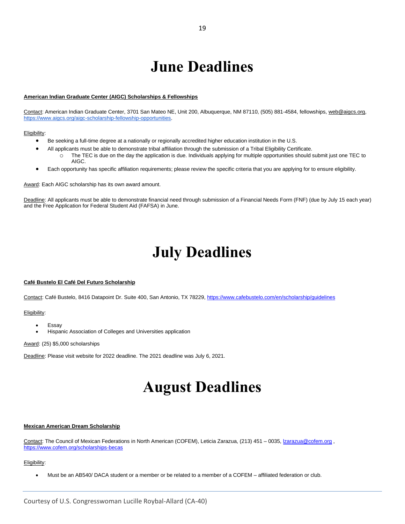### **June Deadlines**

#### <span id="page-18-0"></span>**American Indian Graduate Center (AIGC) Scholarships & Fellowships**

Contact: American Indian Graduate Center, 3701 San Mateo NE, Unit 200, Albuquerque, NM 87110, (505) 881-4584, fellowships[, web@aigcs.org,](mailto:web@aigcs.org) [https://www.aigcs.org/aigc-scholarship-fellowship-opportunities.](https://www.aigcs.org/aigc-scholarship-fellowship-opportunities) 

#### Eligibility:

- Be seeking a full-time degree at a nationally or regionally accredited higher education institution in the U.S.
	- All applicants must be able to demonstrate tribal affiliation through the submission of a Tribal Eligibility Certificate. o The TEC is due on the day the application is due. Individuals applying for multiple opportunities should submit just one TEC to AIGC.
- Each opportunity has specific affiliation requirements; please review the specific criteria that you are applying for to ensure eligibility.

Award: Each AIGC scholarship has its own award amount.

<span id="page-18-1"></span>Deadline: All applicants must be able to demonstrate financial need through submission of a Financial Needs Form (FNF) (due by July 15 each year) and the Free Application for Federal Student Aid (FAFSA) in June.

### **July Deadlines**

#### <span id="page-18-2"></span>**Café Bustelo El Café Del Futuro Scholarship**

Contact: Café Bustelo, 8416 Datapoint Dr. Suite 400, San Antonio, TX 78229,<https://www.cafebustelo.com/en/scholarship/guidelines>

#### Eligibility:

- **Essay**
- Hispanic Association of Colleges and Universities application

#### Award: (25) \$5,000 scholarships

Deadline: Please visit website for 2022 deadline. The 2021 deadline was July 6, 2021.

### **August Deadlines**

#### **Mexican American Dream Scholarship**

Contact: The Council of Mexican Federations in North American (COFEM), Leticia Zarazua, (213) 451 – 0035[, lzarazua@cofem.org](mailto:lzarazua@cofem.org) , <https://www.cofem.org/scholarships-becas>

#### Eligibility:

• Must be an AB540/ DACA student or a member or be related to a member of a COFEM – affiliated federation or club.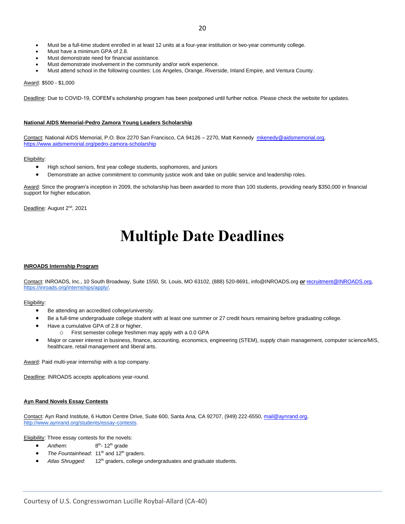- Must be a full-time student enrolled in at least 12 units at a four-year institution or two-year community college.
- Must have a minimum GPA of 2.8.
- Must demonstrate need for financial assistance.
- Must demonstrate involvement in the community and/or work experience.
- Must attend school in the following counties: Los Angeles, Orange, Riverside, Inland Empire, and Ventura County.

Award: \$500 - \$1,000

Deadline: Due to COVID-19, COFEM's scholarship program has been postponed until further notice. Please check the website for updates.

#### **National AIDS Memorial-Pedro Zamora Young Leaders Scholarship**

Contact: National AIDS Memorial, P.O. Box 2270 San Francisco, CA 94126 - 2270, Matt Kennedy [mkenedy@aidsmemorial.org,](mailto:mkenedy@aidsmemorial.org) <https://www.aidsmemorial.org/pedro-zamora-scholarship>

#### Eligibility:

- High school seniors, first year college students, sophomores, and juniors
- Demonstrate an active commitment to community justice work and take on public service and leadership roles.

Award: Since the program's inception in 2009, the scholarship has been awarded to more than 100 students, providing nearly \$350,000 in financial support for higher education.

<span id="page-19-0"></span>Deadline: August 2<sup>nd</sup>, 2021

### **Multiple Date Deadlines**

#### **INROADS Internship Program**

Contact: INROADS, Inc., 10 South Broadway, Suite 1550, St. Louis, MO 63102, (888) 520-8691, info@INROADS.org *or* [recruitment@INROADS.org](mailto:recruitment@INROADS.org)[,](https://inroads.org/internships/apply/) [https://inroads.org/internships/apply/.](https://inroads.org/internships/apply/)

#### Eligibility:

- Be attending an accredited college/university.
- Be a full-time undergraduate college student with at least one summer or 27 credit hours remaining before graduating college.
- Have a cumulative GPA of 2.8 or higher.
	- o First semester college freshmen may apply with a 0.0 GPA
- Major or career interest in business, finance, accounting, economics, engineering (STEM), supply chain management, computer science/MIS, healthcare, retail management and liberal arts.

Award: Paid multi-year internship with a top company.

Deadline: INROADS accepts applications year-round.

#### **Ayn Rand Novels Essay Contests**

Contact: Ayn Rand Institute, 6 Hutton Centre Drive, Suite 600, Santa Ana, CA 92707, (949) 222-6550, [mail@aynrand.org,](mailto:mail@aynrand.org) [http://www.aynrand.org/students/essay-contests.](http://www.aynrand.org/students/essay-contests)

Eligibility: Three essay contests for the novels:

- *Anthem*: 8 <sup>th</sup>- 12<sup>th</sup> grade
- The Fountainhead: 11<sup>th</sup> and 12<sup>th</sup> graders.
- Atlas Shrugged: 12<sup>th</sup> graders, college undergraduates and graduate students.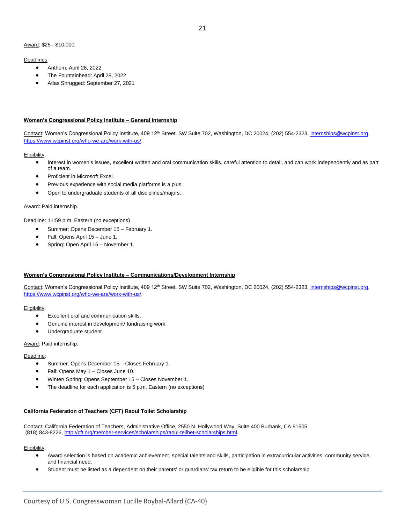#### Deadlines:

- Anthem: April 28, 2022
- The Fountainhead: April 28, 2022
- Atlas Shrugged: September 27, 2021

#### **Women's Congressional Policy Institute – General Internship**

Contact: Women's Congressional Policy Institute, 409 12<sup>th</sup> Street, SW Suite 702, Washington, DC 20024, (202) 554-2323, internships@wcpinst.org, [https://www.wcpinst.org/who-we-are/work-with-us/.](https://www.wcpinst.org/who-we-are/work-with-us/)

#### Eligibility:

- Interest in women's issues, excellent written and oral communication skills, careful attention to detail, and can work independently and as part of a team.
- Proficient in Microsoft Excel.
- Previous experience with social media platforms is a plus.
- Open to undergraduate students of all disciplines/majors.

#### Award: Paid internship.

Deadline: 11:59 p.m. Eastern (no exceptions)

- Summer: Opens December 15 February 1.
- Fall: Opens April 15 June 1.
- Spring: Open April 15 November 1.

#### **Women's Congressional Policy Institute – Communications/Development Internship**

Contact: Women's Congressional Policy Institute, 409 12<sup>th</sup> Street, SW Suite 702, Washington, DC 20024, (202) 554-2323, internships@wcpinst.org, [https://www.wcpinst.org/who-we-are/work-with-us/.](https://www.wcpinst.org/who-we-are/work-with-us/)

#### Eligibility:

- Excellent oral and communication skills.
- Genuine interest in development/ fundraising work.
- Undergraduate student.

#### Award: Paid internship.

#### Deadline:

- Summer: Opens December 15 Closes February 1.
- Fall: Opens May 1 Closes June 10.
- Winter/ Spring: Opens September 15 Closes November 1.
- The deadline for each application is 5 p.m. Eastern (no exceptions)

#### **California Federation of Teachers (CFT) Raoul Toilet Scholarship**

Contact: California Federation of Teachers, Administrative Office, 2550 N. Hollywood Way, Suite 400 Burbank, CA 91505 (818) 843-8226[, http://cft.org/member-services/scholarships/raoul-teilhet-scholarships.html.](http://cft.org/member-services/scholarships/raoul-teilhet-scholarships.html) 

- Award selection is based on academic achievement, special talents and skills, participation in extracurricular activities, community service, and financial need.
- Student must be listed as a dependent on their parents' or guardians' tax return to be eligible for this scholarship.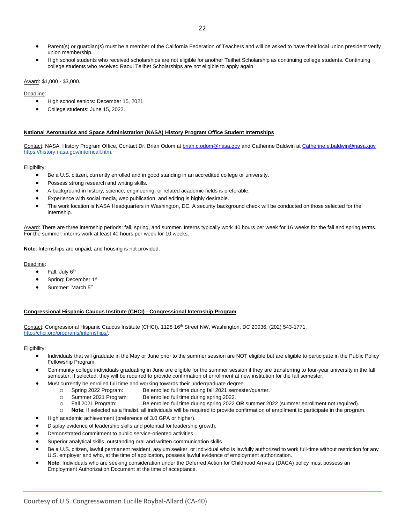- Parent(s) or guardian(s) must be a member of the California Federation of Teachers and will be asked to have their local union president verify union membership.
- High school students who received scholarships are not eligible for another Teilhet Scholarship as continuing college students. Continuing college students who received Raoul Teilhet Scholarships are not eligible to apply again.

#### Award: \$1,000 - \$3,000.

#### Deadline:

- High school seniors: December 15, 2021.
- College students: June 15, 2022.

#### **National Aeronautics and Space Administration (NASA) History Program Office Student Internships**

Contact: NASA, History Program Office, Contact Dr. Brian Odom at [brian.c.odom@nasa.gov](mailto:brian.c.odom@nasa.gov) and Catherine Baldwin a[t Catherine.e.baldwin@nasa.gov](mailto:Catherine.e.baldwin@nasa.gov) [https://history.nasa.gov/interncall.htm.](https://history.nasa.gov/interncall.htm)

#### Eligibility:

- Be a U.S. citizen, currently enrolled and in good standing in an accredited college or university.
- Possess strong research and writing skills.
- A background in history, science, engineering, or related academic fields is preferable.
- Experience with social media, web publication, and editing is highly desirable.
- The work location is NASA Headquarters in Washington, DC. A security background check will be conducted on those selected for the internship.

Award: There are three internship periods: fall, spring, and summer. Interns typically work 40 hours per week for 16 weeks for the fall and spring terms. For the summer, interns work at least 40 hours per week for 10 weeks.

**Note**: Internships are unpaid, and housing is not provided.

#### Deadline:

- Fall: July  $6<sup>th</sup>$
- Spring: December 1st
- Summer: March 5<sup>th</sup>

#### **Congressional Hispanic Caucus Institute (CHCI) - Congressional Internship Program**

Contact: Congressional Hispanic Caucus Institute (CHCI), 1128 16<sup>th</sup> Street NW, Washington, DC 20036, (202) 543-1771, [http://chci.org/programs/internships/.](http://chci.org/programs/internships/)

- Individuals that will graduate in the May or June prior to the summer session are NOT eligible but are eligible to participate in the Public Policy Fellowship Program.
- Community college individuals graduating in June are eligible for the summer session if they are transferring to four-year university in the fall semester. If selected, they will be required to provide confirmation of enrollment at new institution for the fall semester.
	- Must currently be enrolled full time and working towards their undergraduate degree.
		- o Spring 2022 Program: Be enrolled full time during fall 2021 semester/quarter.
		- o Summer 2021 Program: Be enrolled full time during spring 2022.
		- o Fall 2021 Program: Be enrolled full time during spring 2022 **OR** summer 2022 (summer enrollment not required).
		- o **Note**: If selected as a finalist, all individuals will be required to provide confirmation of enrollment to participate in the program.
- High academic achievement (preference of 3.0 GPA or higher).
- Display evidence of leadership skills and potential for leadership growth.
- Demonstrated commitment to public service-oriented activities.
- Superior analytical skills, outstanding oral and written communication skills
- Be a U.S. citizen, lawful permanent resident, asylum seeker, or individual who is lawfully authorized to work full-time without restriction for any U.S. employer and who, at the time of application, possess lawful evidence of employment authorization.
- **Note**: Individuals who are seeking consideration under the Deferred Action for Childhood Arrivals (DACA) policy must possess an Employment Authorization Document at the time of acceptance.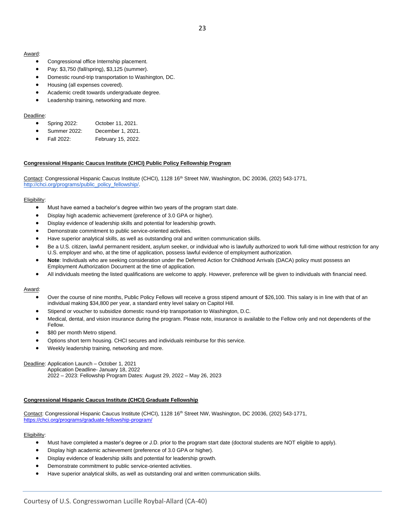#### Award:

- Congressional office Internship placement.
- Pay: \$3,750 (fall/spring), \$3,125 (summer).
- Domestic round-trip transportation to Washington, DC.
- Housing (all expenses covered).
- Academic credit towards undergraduate degree.
- Leadership training, networking and more.

#### Deadline:

- Spring 2022: October 11, 2021.
- Summer 2022: December 1, 2021.
- Fall 2022: February 15, 2022.

#### **Congressional Hispanic Caucus Institute (CHCI) Public Policy Fellowship Program**

Contact: Congressional Hispanic Caucus Institute (CHCI), 1128 16th Street NW, Washington, DC 20036, (202) 543-1771, [http://chci.org/programs/public\\_policy\\_fellowship/.](http://chci.org/programs/public_policy_fellowship/)

#### Eligibility:

- Must have earned a bachelor's degree within two years of the program start date.
- Display high academic achievement (preference of 3.0 GPA or higher).
- Display evidence of leadership skills and potential for leadership growth.
- Demonstrate commitment to public service-oriented activities.
- Have superior analytical skills, as well as outstanding oral and written communication skills.
- Be a U.S. citizen, lawful permanent resident, asylum seeker, or individual who is lawfully authorized to work full-time without restriction for any U.S. employer and who, at the time of application, possess lawful evidence of employment authorization.
- **Note**: Individuals who are seeking consideration under the Deferred Action for Childhood Arrivals (DACA) policy must possess an Employment Authorization Document at the time of application.
- All individuals meeting the listed qualifications are welcome to apply. However, preference will be given to individuals with financial need.

#### Award:

- Over the course of nine months, Public Policy Fellows will receive a gross stipend amount of \$26,100. This salary is in line with that of an individual making \$34,800 per year, a standard entry level salary on Capitol Hill.
- Stipend or voucher to subsidize domestic round-trip transportation to Washington, D.C.
- Medical, dental, and vision insurance during the program. Please note, insurance is available to the Fellow only and not dependents of the Fellow.
- \$80 per month Metro stipend.
- Options short term housing. CHCI secures and individuals reimburse for this service.
- Weekly leadership training, networking and more.

#### Deadline: Application Launch – October 1, 2021

Application Deadline- January 18, 2022 2022 – 2023: Fellowship Program Dates: August 29, 2022 – May 26, 2023

#### **Congressional Hispanic Caucus Institute (CHCI) Graduate Fellowship**

Contact: Congressional Hispanic Caucus Institute (CHCI), 1128 16<sup>th</sup> Street NW, Washington, DC 20036, (202) 543-1771, <https://chci.org/programs/graduate-fellowship-program/>

- Must have completed a master's degree or J.D. prior to the program start date (doctoral students are NOT eligible to apply).
- Display high academic achievement (preference of 3.0 GPA or higher).
- Display evidence of leadership skills and potential for leadership growth.
- Demonstrate commitment to public service-oriented activities.
- Have superior analytical skills, as well as outstanding oral and written communication skills.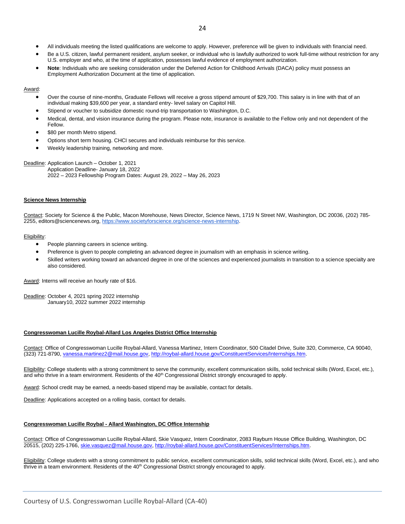- All individuals meeting the listed qualifications are welcome to apply. However, preference will be given to individuals with financial need.
- Be a U.S. citizen, lawful permanent resident, asylum seeker, or individual who is lawfully authorized to work full-time without restriction for any U.S. employer and who, at the time of application, possesses lawful evidence of employment authorization.
- **Note**: Individuals who are seeking consideration under the Deferred Action for Childhood Arrivals (DACA) policy must possess an Employment Authorization Document at the time of application.

#### Award:

- Over the course of nine-months, Graduate Fellows will receive a gross stipend amount of \$29,700. This salary is in line with that of an individual making \$39,600 per year, a standard entry- level salary on Capitol Hill.
- Stipend or voucher to subsidize domestic round-trip transportation to Washington, D.C.
- Medical, dental, and vision insurance during the program. Please note, insurance is available to the Fellow only and not dependent of the Fellow.
- \$80 per month Metro stipend.
- Options short term housing. CHCI secures and individuals reimburse for this service.
- Weekly leadership training, networking and more.

Deadline: Application Launch – October 1, 2021

Application Deadline- January 18, 2022 2022 – 2023 Fellowship Program Dates: August 29, 2022 – May 26, 2023

#### **Science News Internship**

Contact: Society for Science & the Public, Macon Morehouse, News Director, Science News, 1719 N Street NW, Washington, DC 20036, (202) 785- 2255, editors@sciencenews.org[, https://www.societyforscience.org/science-news-internship.](https://www.societyforscience.org/science-news-internship)

#### Eligibility:

- People planning careers in science writing.
- Preference is given to people completing an advanced degree in journalism with an emphasis in science writing.
- Skilled writers working toward an advanced degree in one of the sciences and experienced journalists in transition to a science specialty are also considered.

Award: Interns will receive an hourly rate of \$16.

Deadline: October 4, 2021 spring 2022 internship January10, 2022 summer 2022 internship

#### **Congresswoman Lucille Roybal-Allard Los Angeles District Office Internship**

Contact: Office of Congresswoman Lucille Roybal-Allard, Vanessa Martinez, Intern Coordinator, 500 Citadel Drive, Suite 320, Commerce, CA 90040, (323) 721-8790, [vanessa.martinez2@mail.house.gov,](mailto:vanessa.martinez2@mail.house.gov) [http://roybal-allard.house.gov/ConstituentServices/Internships.htm.](http://roybal-allard.house.gov/ConstituentServices/Internships.htm)

Eligibility: College students with a strong commitment to serve the community, excellent communication skills, solid technical skills (Word, Excel, etc.), and who thrive in a team environment. Residents of the 40<sup>th</sup> Congressional District strongly encouraged to apply.

Award: School credit may be earned, a needs-based stipend may be available, contact for details.

Deadline: Applications accepted on a rolling basis, contact for details.

#### **Congresswoman Lucille Roybal - Allard Washington, DC Office Internship**

Contact: Office of Congresswoman Lucille Roybal-Allard, Skie Vasquez, Intern Coordinator, 2083 Rayburn House Office Building, Washington, DC 20515, (202) 225-1766, [skie.vasquez@mail.house.gov,](mailto:skie.vasquez@mail.house.gov) [http://roybal-allard.house.gov/ConstituentServices/Internships.htm.](http://roybal-allard.house.gov/ConstituentServices/Internships.htm)

Eligibility: College students with a strong commitment to public service, excellent communication skills, solid technical skills (Word, Excel, etc.), and who thrive in a team environment. Residents of the 40<sup>th</sup> Congressional District strongly encouraged to apply.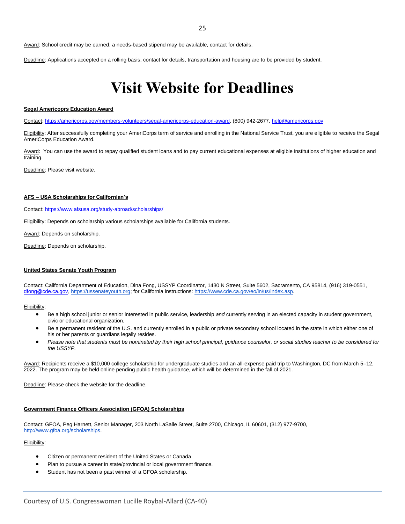Award: School credit may be earned, a needs-based stipend may be available, contact for details.

Deadline: Applications accepted on a rolling basis, contact for details, transportation and housing are to be provided by student.

### <span id="page-24-0"></span>**Visit Website for Deadlines**

#### **Segal Americoprs Education Award**

Contact: [https://americorps.gov/members-volunteers/segal-americorps-education-award,](https://americorps.gov/members-volunteers/segal-americorps-education-award) (800) 942-2677, [help@americorps.gov](mailto:help@americorps.gov)

Eligibility: After successfully completing your AmeriCorps term of service and enrolling in the National Service Trust, you are eligible to receive the Segal AmeriCorps Education Award.

Award: You can use the award to repay qualified student loans and to pay current educational expenses at eligible institutions of higher education and training.

Deadline: Please visit website.

#### **AFS – USA Scholarships for Californian's**

Contact:<https://www.afsusa.org/study-abroad/scholarships/>

Eligibility: Depends on scholarship various scholarships available for California students.

Award: Depends on scholarship.

Deadline: Depends on scholarship.

#### **United States Senate Youth Program**

Contact: California Department of Education, Dina Fong, USSYP Coordinator, 1430 N Street, Suite 5602, Sacramento, CA 95814, (916) 319-0551, [dfong@cde.ca.gov,](mailto:dfong@cde.ca.gov) [https://ussenateyouth.org;](https://ussenateyouth.org/) for California instructions: [https://www.cde.ca.gov/eo/in/us/index.asp.](https://www.cde.ca.gov/eo/in/us/index.asp)

Eligibility:

- Be a high school junior or senior interested in public service, leadership *and* currently serving in an elected capacity in student government, civic or educational organization.
- Be a permanent resident of the U.S. and currently enrolled in a public or private secondary school located in the state in which either one of his or her parents or guardians legally resides.
- *Please note that students must be nominated by their high school principal, guidance counselor, or social studies teacher to be considered for the USSYP.*

Award: Recipients receive a \$10,000 college scholarship for undergraduate studies and an all-expense paid trip to Washington, DC from March 5–12, 2022. The program may be held online pending public health guidance, which will be determined in the fall of 2021.

Deadline: Please check the website for the deadline.

#### **Government Finance Officers Association (GFOA) Scholarships**

Contact: GFOA, Peg Harnett, Senior Manager, 203 North LaSalle Street, Suite 2700, Chicago, IL 60601, (312) 977-970[0,](http://www.gfoa.org/scholarships) [http://www.gfoa.org/scholarships.](http://www.gfoa.org/scholarships)

- Citizen or permanent resident of the United States or Canada
- Plan to pursue a career in state/provincial or local government finance.
- Student has not been a past winner of a GFOA scholarship.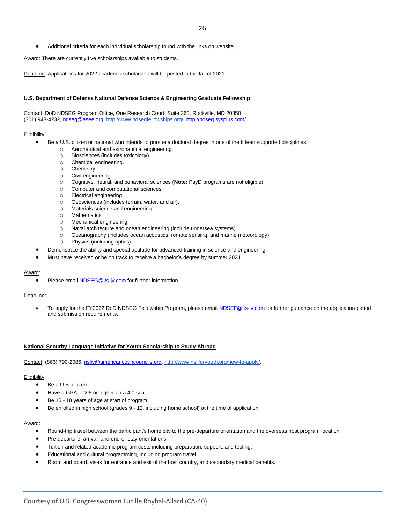• Additional criteria for each individual scholarship found with the links on website.

Award: There are currently five scholarships available to students.

Deadline: Applications for 2022 academic scholarship will be posted in the fall of 2021.

#### **U.S. Department of Defense National Defense Science & Engineering Graduate Fellowship**

Contact: DoD NDSEG Program Office, One Research Court, Suite 360, Rockville, MD 20850 (301) 948-4232, [ndseg@asee.org,](mailto:ndseg@asee.org) [http://www.ndsegfellowships.org/,](http://www.ndsegfellowships.org/)<http://ndseg.sysplus.com/>

#### Eligibility:

- Be a U.S. citizen or national who intends to pursue a doctoral degree in one of the fifteen supported disciplines.
	- o Aeronautical and astronautical engineering.
	- o Biosciences (includes toxicology).
	- o Chemical engineering.
	- o Chemistry.
	- o Civil engineering.
	- o Cognitive, neural, and behavioral sciences (**Note:** PsyD programs are not eligible).
	- o Computer and computational sciences.
	- o Electrical engineering.
	- o Geosciences (includes terrain, water, and air).
	- o Materials science and engineering.
	- o Mathematics.
	- o Mechanical engineering.
	- o Naval architecture and ocean engineering (include undersea systems).
	- o Oceanography (includes ocean acoustics, remote sensing, and marine meteorology).
	- o Physics (including optics).
	- Demonstrate the ability and special aptitude for advanced training in science and engineering.
- Must have received or be on track to receive a bachelor's degree by summer 2021.

#### Award:

• Please email **NDSEG@its-jv.com** for further information.

#### Deadline:

To apply for the FY2022 DoD NDSEG Fellowship Program, please emai[l NDSEF@its-jv.com](mailto:NDSEF@its-jv.com) for further guidance on the application period and submission requirements.

#### **National Security Language Initiative for Youth Scholarship to Study Abroad**

Contact: (866) 790-2086[, nsliy@americancouncouncils.org,](mailto:nsliy@americancouncouncils.org) [http://www.nsliforyouth.org/how-to-apply/.](http://www.nsliforyouth.org/how-to-apply/)

#### Eligibility:

- Be a U.S. citizen.
- Have a GPA of 2.5 or higher on a 4.0 scale.
- Be 15 18 years of age at start of program.
- Be enrolled in high school (grades 9 12, including home school) at the time of application.

#### Award:

- Round-trip travel between the participant's home city to the pre-departure orientation and the overseas host program location.
- Pre-departure, arrival, and end-of-stay orientations.
- Tuition and related academic program costs including preparation, support, and testing.
- Educational and cultural programming, including program travel.
- Room and board, visas for entrance and exit of the host country, and secondary medical benefits.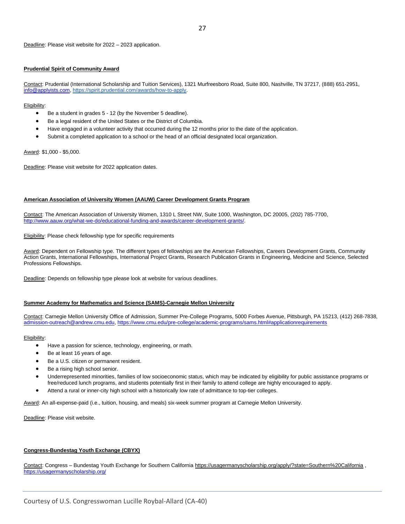#### **Prudential Spirit of Community Award**

Contact: Prudential (International Scholarship and Tuition Services), 1321 Murfreesboro Road, Suite 800, Nashville, TN 37217, (888) 651-2951, [info@applyists.com,](mailto:info@applyists.com) [https://spirit.prudential.com/awards/how-to-apply.](https://spirit.prudential.com/awards/how-to-apply)

Eligibility:

- Be a student in grades 5 12 (by the November 5 deadline).
- Be a legal resident of the United States or the District of Columbia.
- Have engaged in a volunteer activity that occurred during the 12 months prior to the date of the application.
- Submit a completed application to a school or the head of an official designated local organization.

Award: \$1,000 - \$5,000.

Deadline: Please visit website for 2022 application dates.

#### **American Association of University Women (AAUW) Career Development Grants Program**

Contact: The American Association of University Women, 1310 L Street NW, Suite 1000, Washington, DC 20005, (202) 785-7700, [http://www.aauw.org/what-we-do/educational-funding-and-awards/career-development-grants/.](http://www.aauw.org/what-we-do/educational-funding-and-awards/career-development-grants/)

**Eligibility:** Please check fellowship type for specific requirements

Award: Dependent on Fellowship type. The different types of fellowships are the American Fellowships, Careers Development Grants, Community Action Grants, International Fellowships, International Project Grants, Research Publication Grants in Engineering, Medicine and Science, Selected Professions Fellowships.

Deadline: Depends on fellowship type please look at website for various deadlines.

#### **Summer Academy for Mathematics and Science (SAMS)-Carnegie Mellon University**

Contact: Carnegie Mellon University Office of Admission, Summer Pre-College Programs, 5000 Forbes Avenue, Pittsburgh, PA 15213, (412) 268-7838, [admission-outreach@andrew.cmu.edu,](mailto:admission-outreach@andrew.cmu.edu)<https://www.cmu.edu/pre-college/academic-programs/sams.html#applicationrequirements>

Eligibility:

- Have a passion for science, technology, engineering, or math.
- Be at least 16 years of age.
- Be a U.S. citizen or permanent resident.
- Be a rising high school senior.
- Underrepresented minorities, families of low socioeconomic status, which may be indicated by eligibility for public assistance programs or free/reduced lunch programs, and students potentially first in their family to attend college are highly encouraged to apply.
- Attend a rural or inner-city high school with a historically low rate of admittance to top-tier colleges.

Award: An all-expense-paid (i.e., tuition, housing, and meals) six-week summer program at Carnegie Mellon University.

Deadline: Please visit website.

#### **Congress-Bundestag Youth Exchange (CBYX)**

Contact: Congress – Bundestag Youth Exchange for Southern California<https://usagermanyscholarship.org/apply/?state=Southern%20California> , <https://usagermanyscholarship.org/>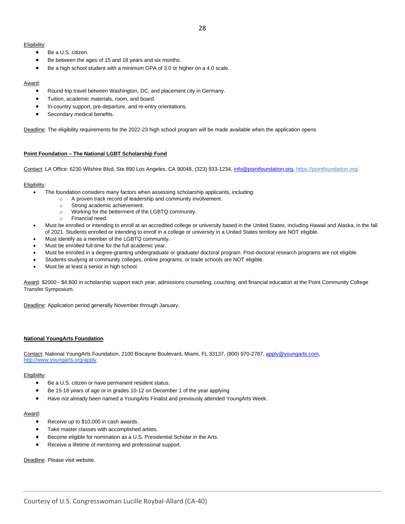#### Eligibility:

- Be a U.S. citizen.
- Be between the ages of 15 and 18 years and six months.
- Be a high school student with a minimum GPA of 3.0 or higher on a 4.0 scale.

#### Award:

- Round trip travel between Washington, DC, and placement city in Germany.
- Tuition, academic materials, room, and board.
- In-country support, pre-departure, and re-entry orientations.
- Secondary medical benefits.

Deadline: The eligibility requirements for the 2022-23 high school program will be made available when the application opens.

#### **Point Foundation – The National LGBT Scholarship Fund**

Contact: LA Office: 6230 Wilshire Blvd, Ste 890 Los Angeles, CA 90048, (323) 933-1234[, info@pointfoundation.org,](mailto:info@pointfoundation.org) [https://pointfoundation.org/.](https://pointfoundation.org/)

#### Eligibility:

- The foundation considers many factors when assessing scholarship applicants, including:
	- o A proven track record of leadership and community involvement.
	- o Strong academic achievement.
	- o Working for the betterment of the LGBTQ community.
	- o Financial need.
- Must be enrolled or intending to enroll at an accredited college or university based in the United States, including Hawaii and Alaska, in the fall of 2021. Students enrolled or intending to enroll in a college or university in a United States territory are NOT eligible.
- Must identify as a member of the LGBTQ community.
- Must be enrolled full-time for the full academic year.
- Must be enrolled in a degree-granting undergraduate or graduate/ doctoral program. Post-doctoral research programs are not eligible.
- Students studying at community colleges, online programs, or trade schools are NOT eligible.
- Must be at least a senior in high school.

Award: \$2000 - \$4,800 in scholarship support each year, admissions counseling, couching, and financial education at the Point Community College Transfer Symposium.

Deadline: Application period generally November through January.

#### **National YoungArts Foundation**

Contact: National YoungArts Foundation, 2100 Biscayne Boulevard, Miami, FL 33137, (800) 970-2787, [apply@youngarts.com](mailto:apply@youngarts.com)[,](http://www.youngarts.org/) [http://www.youngarts.org/a](http://www.youngarts.org/)pply.

#### Eligibility:

- Be a U.S. citizen or have permanent resident status.
- Be 15-18 years of age or in grades 10-12 on December 1 of the year applying
- Have not already been named a YoungArts Finalist and previously attended YoungArts Week.

#### Award:

- Receive up to \$10,000 in cash awards.
- Take master classes with accomplished artists.
- Become eligible for nomination as a U.S. Presidential Scholar in the Arts.
- Receive a lifetime of mentoring and professional support.

Deadline: Please visit website.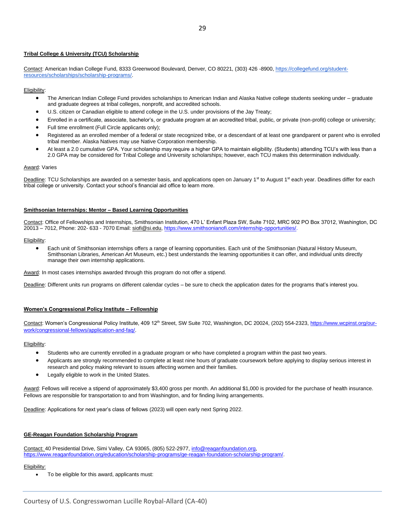#### **Tribal College & University (TCU) Scholarship**

Contact: American Indian College Fund, 8333 Greenwood Boulevard, Denver, CO 80221, (303) 426 -8900[, https://collegefund.org/student](https://collegefund.org/student-resources/scholarships/scholarship-programs/)[resources/scholarships/scholarship-programs/.](https://collegefund.org/student-resources/scholarships/scholarship-programs/)

#### Eligibility:

- The American Indian College Fund provides scholarships to American Indian and Alaska Native college students seeking under graduate and graduate degrees at tribal colleges, nonprofit, and accredited schools.
- U.S. citizen or Canadian eligible to attend college in the U.S. under provisions of the Jay Treaty;
- Enrolled in a certificate, associate, bachelor's, or graduate program at an accredited tribal, public, or private (non-profit) college or university;
- Full time enrollment (Full Circle applicants only);
- Registered as an enrolled member of a federal or state recognized tribe, or a descendant of at least one grandparent or parent who is enrolled tribal member. Alaska Natives may use Native Corporation membership.
- At least a 2.0 cumulative GPA. Your scholarship may require a higher GPA to maintain eligibility. (Students) attending TCU's with less than a 2.0 GPA may be considered for Tribal College and University scholarships; however, each TCU makes this determination individually.

#### **Award: Varies**

Deadline: TCU Scholarships are awarded on a semester basis, and applications open on January 1<sup>st</sup> to August 1<sup>st</sup> each year. Deadlines differ for each tribal college or university. Contact your school's financial aid office to learn more.

#### **Smithsonian Internships: Mentor – Based Learning Opportunities**

Contact: Office of Fellowships and Internships, Smithsonian Institution, 470 L' Enfant Plaza SW, Suite 7102, MRC 902 PO Box 37012, Washington, DC 20013 – 7012, Phone: 202- 633 - 7070 Email: [siofi@si.edu,](mailto:siofi@si.edu) [https://www.smithsonianofi.com/internship-opportunities/.](https://www.smithsonianofi.com/internship-opportunities/)

Eligibility:

• Each unit of Smithsonian internships offers a range of learning opportunities. Each unit of the Smithsonian (Natural History Museum, Smithsonian Libraries, American Art Museum, etc.) best understands the learning opportunities it can offer, and individual units directly manage their own internship applications.

Award: In most cases internships awarded through this program do not offer a stipend.

Deadline: Different units run programs on different calendar cycles – be sure to check the application dates for the programs that's interest you.

#### **Women's Congressional Policy Institute – Fellowship**

Contact: Women's Congressional Policy Institute, 409 12<sup>th</sup> Street, SW Suite 702, Washington, DC 20024, (202) 554-2323, [https://www.wcpinst.org/our](https://www.wcpinst.org/our-work/congressional-fellows/application-and-faq/)[work/congressional-fellows/application-and-faq/.](https://www.wcpinst.org/our-work/congressional-fellows/application-and-faq/)

#### Eligibility:

- Students who are currently enrolled in a graduate program or who have completed a program within the past two years.
- Applicants are strongly recommended to complete at least nine hours of graduate coursework before applying to display serious interest in research and policy making relevant to issues affecting women and their families.
- Legally eligible to work in the United States.

Award: Fellows will receive a stipend of approximately \$3,400 gross per month. An additional \$1,000 is provided for the purchase of health insurance. Fellows are responsible for transportation to and from Washington, and for finding living arrangements.

Deadline: Applications for next year's class of fellows (2023) will open early next Spring 2022.

#### **GE-Reagan Foundation Scholarship Program**

Contact: 40 Presidential Drive, Simi Valley, CA 93065, (805) 522-2977, [info@reaganfoundation.org,](mailto:info@reaganfoundation.org)  [https://www.reaganfoundation.org/education/scholarship-programs/ge-reagan-foundation-scholarship-program/.](https://www.reaganfoundation.org/education/scholarship-programs/ge-reagan-foundation-scholarship-program/)

#### Eligibility:

• To be eligible for this award, applicants must: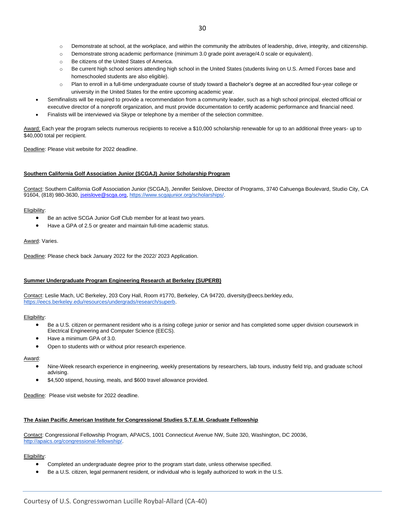- o Demonstrate strong academic performance (minimum 3.0 grade point average/4.0 scale or equivalent).
- o Be citizens of the United States of America.
- o Be current high school seniors attending high school in the United States (students living on U.S. Armed Forces base and homeschooled students are also eligible).
- o Plan to enroll in a full-time undergraduate course of study toward a Bachelor's degree at an accredited four-year college or university in the United States for the entire upcoming academic year.
- Semifinalists will be required to provide a recommendation from a community leader, such as a high school principal, elected official or executive director of a nonprofit organization, and must provide documentation to certify academic performance and financial need.
	- Finalists will be interviewed via Skype or telephone by a member of the selection committee.

Award: Each year the program selects numerous recipients to receive a \$10,000 scholarship renewable for up to an additional three years- up to \$40,000 total per recipient.

#### Deadline: Please visit website for 2022 deadline.

#### **Southern California Golf Association Junior (SCGAJ) Junior Scholarship Program**

Contact: Southern California Golf Association Junior (SCGAJ), Jennifer Seislove, Director of Programs, 3740 Cahuenga Boulevard, Studio City, CA 91604, (818) 980-3630, [jseislove@scga.org,](mailto:jseislove@scga.org) [https://www.scgajunior.org/scholarships/.](https://www.scgajunior.org/scholarships/)

#### Eligibility:

- Be an active SCGA Junior Golf Club member for at least two years.
- Have a GPA of 2.5 or greater and maintain full-time academic status.

#### Award: Varies.

Deadline: Please check back January 2022 for the 2022/ 2023 Application.

#### **Summer Undergraduate Program Engineering Research at Berkeley (SUPERB)**

Contact: Leslie Mach, UC Berkeley, 203 Cory Hall, Room #1770, Berkeley, CA 94720, diversity@eecs.berkley.edu, [https://eecs.berkeley.edu/resources/undergrads/research/superb.](https://eecs.berkeley.edu/resources/undergrads/research/superb)

#### Eligibility:

- Be a U.S. citizen or permanent resident who is a rising college junior or senior and has completed some upper division coursework in Electrical Engineering and Computer Science (EECS).
- Have a minimum GPA of 3.0.
- Open to students with or without prior research experience.

#### Award:

- Nine-Week research experience in engineering, weekly presentations by researchers, lab tours, industry field trip, and graduate school advising.
- \$4,500 stipend, housing, meals, and \$600 travel allowance provided.

Deadline: Please visit website for 2022 deadline.

#### **The Asian Pacific American Institute for Congressional Studies S.T.E.M. Graduate Fellowship**

Contact: Congressional Fellowship Program, APAICS, 1001 Connecticut Avenue NW, Suite 320, Washington, DC 20036, [http://apaics.org/congressional-fellowship/.](http://apaics.org/congressional-fellowship/)

- Completed an undergraduate degree prior to the program start date, unless otherwise specified.
- Be a U.S. citizen, legal permanent resident, or individual who is legally authorized to work in the U.S.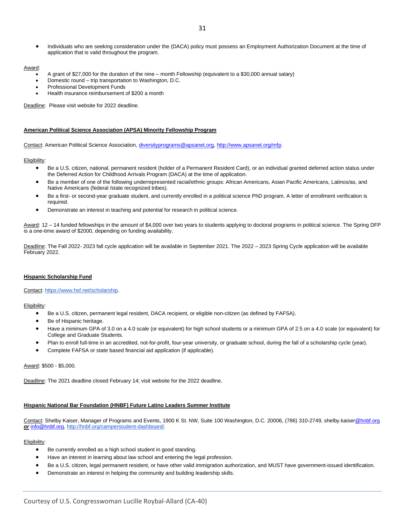• Individuals who are seeking consideration under the (DACA) policy must possess an Employment Authorization Document at the time of application that is valid throughout the program.

#### Award:

- A grant of \$27,000 for the duration of the nine month Fellowship (equivalent to a \$30,000 annual salary)
- Domestic round trip transportation to Washington, D.C.
- Professional Development Funds
- Health insurance reimbursement of \$200 a month

Deadline: Please visit website for 2022 deadline.

#### **American Political Science Association (APSA) Minority Fellowship Program**

Contact: American Political Science Association, [diversityprograms@apsanet.org,](mailto:diversityprograms@apsanet.org) [http://www.apsanet.org/mfp.](http://www.apsanet.org/mfp)

#### Eligibility:

- Be a U.S. citizen, national, permanent resident (holder of a Permanent Resident Card), or an individual granted deferred action status under the Deferred Action for Childhood Arrivals Program (DACA) at the time of application.
- Be a member of one of the following underrepresented racial/ethnic groups: African Americans, Asian Pacific Americans, Latinos/as, and Native Americans (federal /state recognized tribes).
- Be a first- or second-year graduate student, and currently enrolled in a political science PhD program. A letter of enrollment verification is required.
- Demonstrate an interest in teaching and potential for research in political science.

Award: 12 - 14 funded fellowships in the amount of \$4,000 over two years to students applying to doctoral programs in political science. The Spring DFP is a one-time award of \$2000, depending on funding availability.

Deadline: The Fall 2022- 2023 fall cycle application will be available in September 2021. The 2022 – 2023 Spring Cycle application will be available February 2022.

#### **Hispanic Scholarship Fund**

#### Contact: [https://www.hsf.net/scholarship.](https://www.hsf.net/scholarship)

Eligibility:

- Be a U.S. citizen, permanent legal resident, DACA recipient, or eligible non-citizen (as defined by FAFSA).
- Be of Hispanic heritage.
- Have a minimum GPA of 3.0 on a 4.0 scale (or equivalent) for high school students or a minimum GPA of 2.5 on a 4.0 scale (or equivalent) for College and Graduate Students.
- Plan to enroll full-time in an accredited, not-for-profit, four-year university, or graduate school, during the fall of a scholarship cycle (year).
- Complete FAFSA or state based financial aid application (if applicable).

#### Award: \$500 - \$5,000.

Deadline: The 2021 deadline closed February 14; visit website for the 2022 deadline.

#### **Hispanic National Bar Foundation (HNBF) Future Latino Leaders Summer Institute**

Contact: Shelby Kaiser, Manager of Programs and Events, 1900 K St. NW, Suite 100 Washington, D.C. 20006, (786) 310-2749, shelby.kais[er@hnbf.org](mailto:denisemoreno@hnbf.org) *or* [info@hnbf.org,](mailto:info@hnbf.org) [http://hnbf.org/camperstudent-dashboard/.](http://hnbf.org/camperstudent-dashboard/)

- Be currently enrolled as a high school student in good standing.
- Have an interest in learning about law school and entering the legal profession.
- Be a U.S. citizen, legal permanent resident, or have other valid immigration authorization, and MUST have government-issued identification.
- Demonstrate an interest in helping the community and building leadership skills.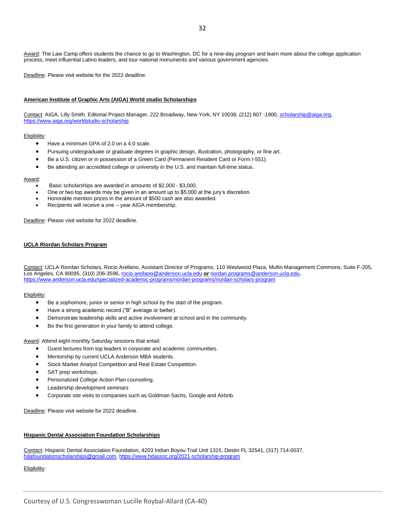Award: The Law Camp offers students the chance to go to Washington, DC for a nine-day program and learn more about the college application process, meet influential Latino leaders, and tour national monuments and various government agencies.

Deadline: Please visit website for the 2022 deadline.

#### **American Institute of Graphic Arts (AIGA) World studio Scholarships**

Contact: AIGA, Lilly Smith, Editorial Project Manager, 222 Broadway, New York, NY 10038, (212) 807 -1900, [scholarship@aiga.org,](mailto:scholarship@aiga.org) [https://www.aiga.org/worldstudio-scholarship.](https://www.aiga.org/worldstudio-scholarship) 

#### Eligibility:

- Have a minimum GPA of 2.0 on a 4.0 scale.
- Pursuing undergraduate or graduate degrees in graphic design, illustration, photography, or fine art.
- Be a U.S. citizen or in possession of a Green Card (Permanent Resident Card or Form I-551).
- Be attending an accredited college or university in the U.S. and maintain full-time status.

#### Award:

- Basic scholarships are awarded in amounts of \$2,000 \$3,000.
- One or two top awards may be given in an amount up to \$5,000 at the jury's discretion.
- Honorable mention prizes in the amount of \$500 cash are also awarded.
- Recipients will receive a one year AIGA membership.

Deadline: Please visit website for 2022 deadline.

#### **UCLA Riordan Scholars Program**

Contact: UCLA Riordan Scholars, Rocio Arellano, Assistant Director of Programs, 110 Westwood Plaza, Mullin Management Commons, Suite F-205, Los Angeles, CA 90095, (310) 206-3596[, rocio.arellano@anderson.ucla.edu](mailto:rocio.arellano@anderson.ucla.edu) *or* [riordan.programs@anderson.ucla.edu,](mailto:riordan.programs@anderson.ucla.edu) <https://www.anderson.ucla.edu/specialized-academic-programs/riordan-programs/riordan-scholars-program>

#### Eligibility:

- Be a sophomore, junior or senior in high school by the start of the program.
- Have a strong academic record ("B" average or better).
- Demonstrate leadership skills and active involvement at school and in the community.
- Be the first generation in your family to attend college.

Award: Attend eight monthly Saturday sessions that entail:

- Guest lectures from top leaders in corporate and academic communities.
- Mentorship by current UCLA Anderson MBA students.
- Stock Market Analyst Competition and Real Estate Competition.
- SAT prep workshops.
- Personalized College Action Plan counseling.
- Leadership development seminars
- Corporate site visits to companies such as Goldman Sachs, Google and Airbnb.

Deadline: Please visit website for 2022 deadline.

#### **Hispanic Dental Association Foundation Scholarships**

Contact: Hispanic Dental Association Foundation, 4203 Indian Boyou Trail Unit 1315, Destin FL 32541, (317) 714-0037, [hdafoundationscholarships@gmail.com,](mailto:hdafoundationscholarships@gmail.com)<https://www.hdassoc.org/2021-scholarship-program>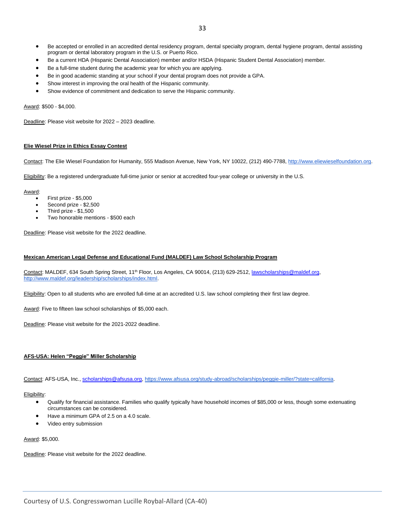- Be accepted or enrolled in an accredited dental residency program, dental specialty program, dental hygiene program, dental assisting program or dental laboratory program in the U.S. or Puerto Rico.
- Be a current HDA (Hispanic Dental Association) member and/or HSDA (Hispanic Student Dental Association) member.
- Be a full-time student during the academic year for which you are applying.
- Be in good academic standing at your school if your dental program does not provide a GPA.
- Show interest in improving the oral health of the Hispanic community.
- Show evidence of commitment and dedication to serve the Hispanic community.

#### Award: \$500 - \$4,000.

Deadline: Please visit website for 2022 – 2023 deadline.

#### **Elie Wiesel Prize in Ethics Essay Contest**

Contact: The Elie Wiesel Foundation for Humanity, 555 Madison Avenue, New York, NY 10022, (212) 490-7788, [http://www.eliewieselfoundation.org.](http://www.eliewieselfoundation.org/)

Eligibility: Be a registered undergraduate full-time junior or senior at accredited four-year college or university in the U.S.

Award:

- First prize \$5,000
- Second prize \$2,500
- Third prize \$1,500
- Two honorable mentions \$500 each

Deadline: Please visit website for the 2022 deadline.

#### **Mexican American Legal Defense and Educational Fund (MALDEF) Law School Scholarship Program**

Contact: MALDEF, 634 South Spring Street, 11<sup>th</sup> Floor, Los Angeles, CA 90014, (213) 629-2512[, lawscholarships@maldef.org,](mailto:lawscholarships@maldef.org) [http://www.maldef.org/leadership/scholarships/index.html.](http://www.maldef.org/leadership/scholarships/index.html)

Eligibility: Open to all students who are enrolled full-time at an accredited U.S. law school completing their first law degree.

Award: Five to fifteen law school scholarships of \$5,000 each.

Deadline: Please visit website for the 2021-2022 deadline.

#### **AFS-USA: Helen "Peggie" Miller Scholarship**

Contact: AFS-USA, Inc.[, scholarships@afsusa.org,](mailto:scholarships@afsusa.org) [https://www.afsusa.org/study-abroad/scholarships/peggie-miller/?state=california.](https://www.afsusa.org/study-abroad/scholarships/peggie-miller/?state=california)

Eligibility:

- Qualify for financial assistance. Families who qualify typically have household incomes of \$85,000 or less, though some extenuating circumstances can be considered.
- Have a minimum GPA of 2.5 on a 4.0 scale.
- Video entry submission

Award: \$5,000.

Deadline: Please visit website for the 2022 deadline.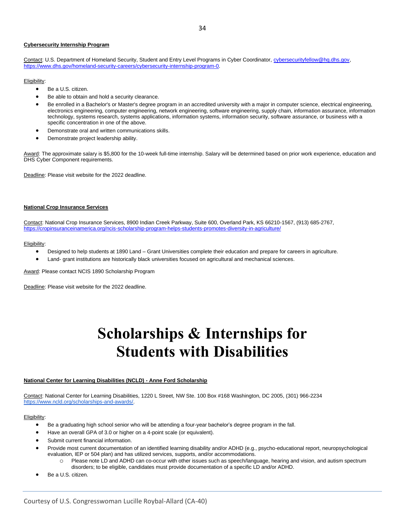#### **Cybersecurity Internship Program**

Contact: U.S. Department of Homeland Security, Student and Entry Level Programs in Cyber Coordinator[, cybersecurityfellow@hq.dhs.gov,](mailto:cybersecurityfellow@hq.dhs.gov) [https://www.dhs.gov/homeland-security-careers/cybersecurity-internship-program-0.](https://www.dhs.gov/homeland-security-careers/cybersecurity-internship-program-0)

#### Eligibility:

- Be a U.S. citizen.
- Be able to obtain and hold a security clearance.
- Be enrolled in a Bachelor's or Master's degree program in an accredited university with a major in computer science, electrical engineering, electronics engineering, computer engineering, network engineering, software engineering, supply chain, information assurance, information technology, systems research, systems applications, information systems, information security, software assurance, or business with a specific concentration in one of the above.
- Demonstrate oral and written communications skills.
- Demonstrate project leadership ability.

Award: The approximate salary is \$5,800 for the 10-week full-time internship. Salary will be determined based on prior work experience, education and DHS Cyber Component requirements.

Deadline: Please visit website for the 2022 deadline.

#### **National Crop Insurance Services**

Contact: National Crop Insurance Services, 8900 Indian Creek Parkway, Suite 600, Overland Park, KS 66210-1567, (913) 685-2767, <https://cropinsuranceinamerica.org/ncis-scholarship-program-helps-students-promotes-diversity-in-agriculture/>

#### Eligibility:

- Designed to help students at 1890 Land Grant Universities complete their education and prepare for careers in agriculture.
- Land- grant institutions are historically black universities focused on agricultural and mechanical sciences.

Award: Please contact NCIS 1890 Scholarship Program

Deadline: Please visit website for the 2022 deadline.

### **Scholarships & Internships for Students with Disabilities**

#### <span id="page-33-0"></span>**National Center for Learning Disabilities (NCLD) - Anne Ford Scholarship**

Contact: National Center for Learning Disabilities, 1220 L Street, NW Ste. 100 Box #168 Washington, DC 2005, (301) 966-2234 [https://www.ncld.org/scholarships-and-awards/.](https://www.ncld.org/scholarships-and-awards/) 

- Be a graduating high school senior who will be attending a four-year bachelor's degree program in the fall.
- Have an overall GPA of 3.0 or higher on a 4-point scale (or equivalent).
- Submit current financial information.
- Provide most current documentation of an identified learning disability and/or ADHD (e.g., psycho-educational report, neuropsychological evaluation, IEP or 504 plan) and has utilized services, supports, and/or accommodations.
	- o Please note LD and ADHD can co-occur with other issues such as speech/language, hearing and vision, and autism spectrum disorders; to be eligible, candidates must provide documentation of a specific LD and/or ADHD.
- Be a U.S. citizen.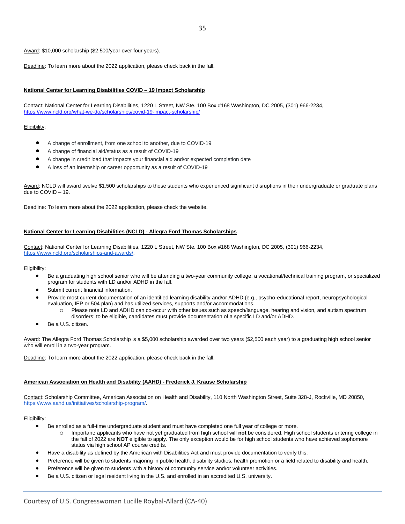Award: \$10,000 scholarship (\$2,500/year over four years).

Deadline: To learn more about the 2022 application, please check back in the fall.

#### **National Center for Learning Disabilities COVID – 19 Impact Scholarship**

Contact: National Center for Learning Disabilities, 1220 L Street, NW Ste. 100 Box #168 Washington, DC 2005, (301) 966-2234, <https://www.ncld.org/what-we-do/scholarships/covid-19-impact-scholarship/>

#### Eligibility:

- A change of enrollment, from one school to another, due to COVID-19
- A change of financial aid/status as a result of COVID-19
- A change in credit load that impacts your financial aid and/or expected completion date
- A loss of an internship or career opportunity as a result of COVID-19

Award: NCLD will award twelve \$1,500 scholarships to those students who experienced significant disruptions in their undergraduate or graduate plans due to COVID – 19.

Deadline: To learn more about the 2022 application, please check the website.

#### **National Center for Learning Disabilities (NCLD) - Allegra Ford Thomas Scholarships**

Contact: National Center for Learning Disabilities, 1220 L Street, NW Ste. 100 Box #168 Washington, DC 2005, (301) 966-2234, [https://www.ncld.org/scholarships-and-awards/.](https://www.ncld.org/scholarships-and-awards/) 

#### Eligibility:

- Be a graduating high school senior who will be attending a two-year community college, a vocational/technical training program, or specialized program for students with LD and/or ADHD in the fall.
- Submit current financial information.
- Provide most current documentation of an identified learning disability and/or ADHD (e.g., psycho-educational report, neuropsychological evaluation, IEP or 504 plan) and has utilized services, supports and/or accommodations.
	- Please note LD and ADHD can co-occur with other issues such as speech/language, hearing and vision, and autism spectrum disorders; to be eligible, candidates must provide documentation of a specific LD and/or ADHD.
- Be a U.S. citizen.

Award: The Allegra Ford Thomas Scholarship is a \$5,000 scholarship awarded over two years (\$2,500 each year) to a graduating high school senior who will enroll in a two-year program.

Deadline: To learn more about the 2022 application, please check back in the fall.

#### **American Association on Health and Disability (AAHD) - Frederick J. Krause Scholarship**

Contact: Scholarship Committee, American Association on Health and Disability, 110 North Washington Street, Suite 328-J, Rockville, MD 20850, [https://www.aahd.us/initiatives/scholarship-program/.](https://www.aahd.us/initiatives/scholarship-program/) 

- Be enrolled as a full-time undergraduate student and must have completed one full year of college or more.
	- o Important**:** applicants who have not yet graduated from high school will **not** be considered. High school students entering college in the fall of 2022 are **NOT** eligible to apply. The only exception would be for high school students who have achieved sophomore status via high school AP course credits.
- Have a disability as defined by the American with Disabilities Act and must provide documentation to verify this.
- Preference will be given to students majoring in public health, disability studies, health promotion or a field related to disability and health.
- Preference will be given to students with a history of community service and/or volunteer activities.
- Be a U.S. citizen or legal resident living in the U.S. and enrolled in an accredited U.S. university.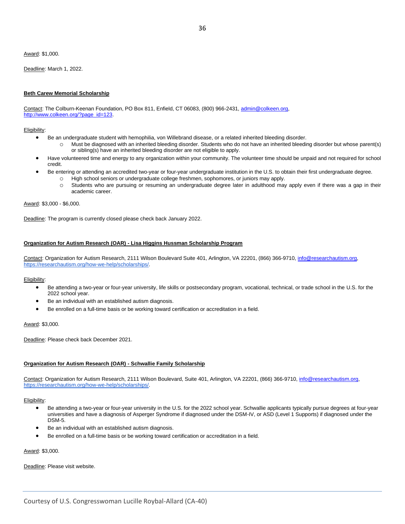Award: \$1,000.

Deadline: March 1, 2022.

#### **Beth Carew Memorial Scholarship**

Contact: The Colburn-Keenan Foundation, PO Box 811, Enfield, CT 06083, (800) 966-2431, admin@colkeen.org, [http://www.colkeen.org/?page\\_id=123.](http://www.colkeen.org/?page_id=123)

Eligibility:

- Be an undergraduate student with hemophilia, von Willebrand disease, or a related inherited bleeding disorder.
	- o Must be diagnosed with an inherited bleeding disorder. Students who do not have an inherited bleeding disorder but whose parent(s) or sibling(s) have an inherited bleeding disorder are not eligible to apply.
- Have volunteered time and energy to any organization within your community. The volunteer time should be unpaid and not required for school credit.
	- Be entering or attending an accredited two-year or four-year undergraduate institution in the U.S. to obtain their first undergraduate degree.
		- o High school seniors or undergraduate college freshmen, sophomores, or juniors may apply.
		- o Students who are pursuing or resuming an undergraduate degree later in adulthood may apply even if there was a gap in their academic career.

Award: \$3,000 - \$6,000.

Deadline: The program is currently closed please check back January 2022.

#### **Organization for Autism Research (OAR) - Lisa Higgins Hussman Scholarship Program**

Contact: Organization for Autism Research, 2111 Wilson Boulevard Suite 401, Arlington, VA 22201, (866) 366-9710, [info@researchautism.org,](mailto:info@researchautism.org) [https://researchautism.org/how-we-help/scholarships/.](https://researchautism.org/how-we-help/scholarships/)

Eligibility:

- Be attending a two-year or four-year university, life skills or postsecondary program, vocational, technical, or trade school in the U.S. for the 2022 school year.
- Be an individual with an established autism diagnosis.
- Be enrolled on a full-time basis or be working toward certification or accreditation in a field.

Award: \$3,000.

Deadline: Please check back December 2021.

#### **Organization for Autism Research (OAR) - Schwallie Family Scholarship**

Contact: Organization for Autism Research, 2111 Wilson Boulevard, Suite 401, Arlington, VA 22201, (866) 366-9710[, info@researchautism.org,](mailto:info@researchautism.org) [https://researchautism.org/how-we-help/scholarships/.](https://researchautism.org/how-we-help/scholarships/)

Eligibility:

- Be attending a two-year or four-year university in the U.S. for the 2022 school year. Schwallie applicants typically pursue degrees at four-year universities and have a diagnosis of Asperger Syndrome if diagnosed under the DSM-IV, or ASD (Level 1 Supports) if diagnosed under the DSM-5.
- Be an individual with an established autism diagnosis.
- Be enrolled on a full-time basis or be working toward certification or accreditation in a field.

Award: \$3,000.

Deadline: Please visit website.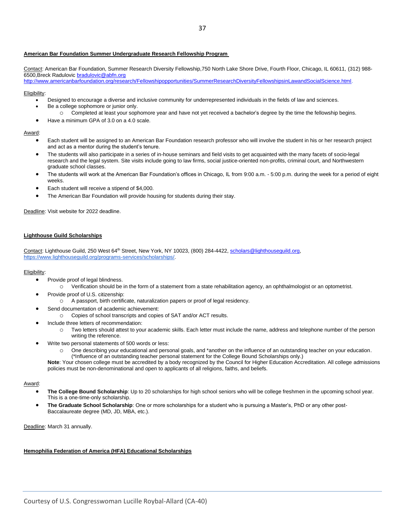#### **American Bar Foundation Summer Undergraduate Research Fellowship Program**

Contact: American Bar Foundation, Summer Research Diversity Fellowship,750 North Lake Shore Drive, Fourth Floor, Chicago, IL 60611, (312) 988- 6500,Breck Radulovic [bradulovic@abfn.org](mailto:bradulovic@abfn.org)

[http://www.americanbarfoundation.org/research/Fellowshipopportunities/SummerResearchDiversityFellowshipsinLawandSocialScience.html.](http://www.americanbarfoundation.org/research/Fellowshipopportunities/SummerResearchDiversityFellowshipsinLawandSocialScience.html)

#### Eligibility:

- Designed to encourage a diverse and inclusive community for underrepresented individuals in the fields of law and sciences.
- Be a college sophomore or junior only.
	- o Completed at least your sophomore year and have not yet received a bachelor's degree by the time the fellowship begins.
- Have a minimum GPA of 3.0 on a 4.0 scale.

#### Award:

- Each student will be assigned to an American Bar Foundation research professor who will involve the student in his or her research project and act as a mentor during the student's tenure.
- The students will also participate in a series of in-house seminars and field visits to get acquainted with the many facets of socio-legal research and the legal system. Site visits include going to law firms, social justice-oriented non-profits, criminal court, and Northwestern graduate school classes.
- The students will work at the American Bar Foundation's offices in Chicago, IL from 9:00 a.m. 5:00 p.m. during the week for a period of eight weeks.
- Each student will receive a stipend of \$4,000.
- The American Bar Foundation will provide housing for students during their stay.

Deadline: Visit website for 2022 deadline.

#### **Lighthouse Guild Scholarships**

Contact: Lighthouse Guild, 250 West 64<sup>th</sup> Street, New York, NY 10023, (800) 284-4422, [scholars@lighthouseguild.org,](mailto:scholars@lighthouseguild.org) [https://www.lighthouseguild.org/programs-services/scholarships/.](https://www.lighthouseguild.org/programs-services/scholarships/)

#### Eligibility:

- Provide proof of legal blindness.
	- o Verification should be in the form of a statement from a state rehabilitation agency, an ophthalmologist or an optometrist.
- Provide proof of U.S. citizenship:
	- o A passport, birth certificate, naturalization papers or proof of legal residency.
- Send documentation of academic achievement:
	- o Copies of school transcripts and copies of SAT and/or ACT results.
- Include three letters of recommendation:
	- o Two letters should attest to your academic skills. Each letter must include the name, address and telephone number of the person writing the reference.
- Write two personal statements of 500 words or less:
	- o One describing your educational and personal goals, and \*another on the influence of an outstanding teacher on your education. (\*Influence of an outstanding teacher personal statement for the College Bound Scholarships only.)

**Note**: Your chosen college must be accredited by a body recognized by the Council for Higher Education Accreditation. All college admissions policies must be non-denominational and open to applicants of all religions, faiths, and beliefs.

#### Award:

- **The College Bound Scholarship**: Up to 20 scholarships for high school seniors who will be college freshmen in the upcoming school year. This is a one-time-only scholarship.
- **The Graduate School Scholarship**: One or more scholarships for a student who is pursuing a Master's, PhD or any other post-Baccalaureate degree (MD, JD, MBA, etc.).

Deadline: March 31 annually.

#### **Hemophilia Federation of America (HFA) Educational Scholarships**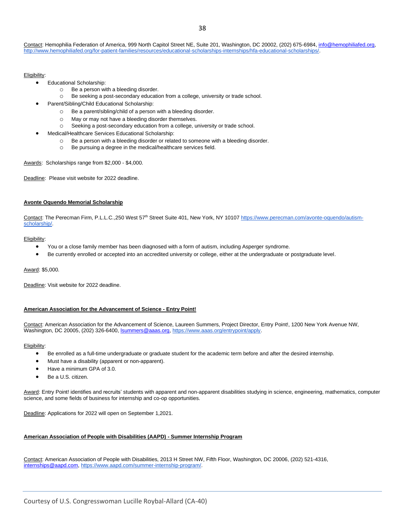#### Eligibility:

- Educational Scholarship:
	- o Be a person with a bleeding disorder.
	- o Be seeking a post-secondary education from a college, university or trade school.
	- Parent/Sibling/Child Educational Scholarship:
		- o Be a parent/sibling/child of a person with a bleeding disorder.
		- o May or may not have a bleeding disorder themselves.
		- o Seeking a post-secondary education from a college, university or trade school.
- Medical/Healthcare Services Educational Scholarship:
	- o Be a person with a bleeding disorder or related to someone with a bleeding disorder.
	- o Be pursuing a degree in the medical/healthcare services field.

Awards: Scholarships range from \$2,000 - \$4,000.

Deadline: Please visit website for 2022 deadline.

#### **Avonte Oquendo Memorial Scholarship**

Contact: The Perecman Firm, P.L.L.C.,250 West 57<sup>th</sup> Street Suite 401, New York, NY 10107 [https://www.perecman.com/avonte-oquendo/autism](https://www.perecman.com/avonte-oquendo/autism-scholarship/)[scholarship/.](https://www.perecman.com/avonte-oquendo/autism-scholarship/)

#### Eligibility:

- You or a close family member has been diagnosed with a form of autism, including Asperger syndrome.
- Be currently enrolled or accepted into an accredited university or college, either at the undergraduate or postgraduate level.

#### Award: \$5,000.

Deadline: Visit website for 2022 deadline.

#### **American Association for the Advancement of Science - Entry Point!**

Contact: American Association for the Advancement of Science, Laureen Summers, Project Director, Entry Point!, 1200 New York Avenue NW, Washington, DC 20005, (202) 326-6400[, lsummers@aaas.org,](mailto:lsummers@aaas.org) [https://www.aaas.org/entrypoint/apply.](https://www.aaas.org/entrypoint/apply)

#### Eligibility:

- Be enrolled as a full-time undergraduate or graduate student for the academic term before and after the desired internship.
- Must have a disability (apparent or non-apparent).
- Have a minimum GPA of 3.0.
- Be a U.S. citizen.

Award: Entry Point! identifies and recruits' students with apparent and non-apparent disabilities studying in science, engineering, mathematics, computer science, and some fields of business for internship and co-op opportunities.

Deadline: Applications for 2022 will open on September 1,2021.

#### **American Association of People with Disabilities (AAPD) - Summer Internship Program**

Contact: American Association of People with Disabilities, 2013 H Street NW, Fifth Floor, Washington, DC 20006, (202) 521-4316, [internships@aapd.com,](mailto:internships@aapd.com) [https://www.aapd.com/summer-internship-program/.](https://www.aapd.com/summer-internship-program/)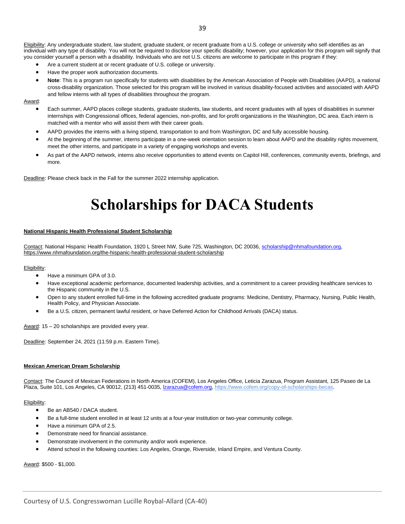Eligibility: Any undergraduate student, law student, graduate student, or recent graduate from a U.S. college or university who self-identifies as an individual with any type of disability. You will not be required to disclose your specific disability; however, your application for this program will signify that you consider yourself a person with a disability. Individuals who are not U.S. citizens are welcome to participate in this program if they:

- Are a current student at or recent graduate of U.S. college or university.
- Have the proper work authorization documents
- **Note**: This is a program run specifically for students with disabilities by the American Association of People with Disabilities (AAPD), a national cross-disability organization. Those selected for this program will be involved in various disability-focused activities and associated with AAPD and fellow interns with all types of disabilities throughout the program.

Award:

- Each summer, AAPD places college students, graduate students, law students, and recent graduates with all types of disabilities in summer internships with Congressional offices, federal agencies, non-profits, and for-profit organizations in the Washington, DC area. Each intern is matched with a mentor who will assist them with their career goals.
- AAPD provides the interns with a living stipend, transportation to and from Washington, DC and fully accessible housing.
- At the beginning of the summer, interns participate in a one-week orientation session to learn about AAPD and the disability rights movement, meet the other interns, and participate in a variety of engaging workshops and events.
- As part of the AAPD network, interns also receive opportunities to attend events on Capitol Hill, conferences, community events, briefings, and more.

<span id="page-38-0"></span>Deadline: Please check back in the Fall for the summer 2022 internship application.

# **Scholarships for DACA Students**

#### **National Hispanic Health Professional Student Scholarship**

Contact: National Hispanic Health Foundation, 1920 L Street NW, Suite 725, Washington, DC 20036, [scholarship@nhmafoundation.org,](mailto:scholarship@nhmafoundation.org)  <https://www.nhmafoundation.org/the-hispanic-health-professional-student-scholarship>

#### Eligibility:

- Have a minimum GPA of 3.0.
- Have exceptional academic performance, documented leadership activities, and a commitment to a career providing healthcare services to the Hispanic community in the U.S.
- Open to any student enrolled full-time in the following accredited graduate programs: Medicine, Dentistry, Pharmacy, Nursing, Public Health, Health Policy, and Physician Associate.
- Be a U.S. citizen, permanent lawful resident, or have Deferred Action for Childhood Arrivals (DACA) status.

Award: 15 – 20 scholarships are provided every year.

Deadline: September 24, 2021 (11:59 p.m. Eastern Time).

#### **Mexican American Dream Scholarship**

Contact: The Council of Mexican Federations in North America (COFEM), Los Angeles Office, Leticia Zarazua, Program Assistant, 125 Paseo de La Plaza, Suite 101, Los Angeles, CA 90012, (213) 451-0035, *lzarazua@cofem.org, [https://www.cofem.org/copy-of-scholarships-becas.](https://www.cofem.org/copy-of-scholarships-becas)* 

#### Eligibility:

- Be an AB540 / DACA student.
- Be a full-time student enrolled in at least 12 units at a four-year institution or two-year community college.
- Have a minimum GPA of 2.5.
- Demonstrate need for financial assistance.
- Demonstrate involvement in the community and/or work experience.
- Attend school in the following counties: Los Angeles, Orange, Riverside, Inland Empire, and Ventura County.

Award: \$500 - \$1,000.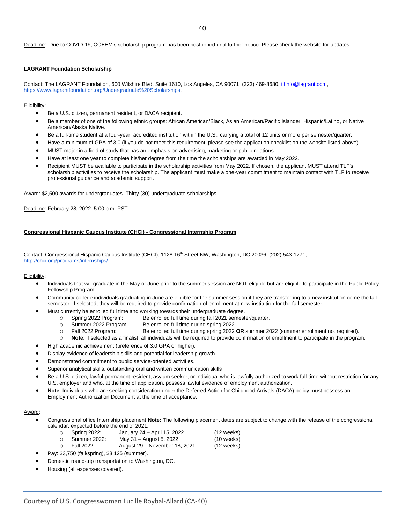Deadline: Due to COVID-19, COFEM's scholarship program has been postponed until further notice. Please check the website for updates.

#### **LAGRANT Foundation Scholarship**

Contact: The LAGRANT Foundation, 600 Wilshire Blvd. Suite 1610, Los Angeles, CA 90071, (323) 469-8680, [tlfinfo@lagrant.com](mailto:tlfinfo@lagrant.com)[,](https://www.lagrantfoundation.org/Undergraduate%20Scholarships) [https://www.lagrantfoundation.org/Undergraduate%20Scholarships.](https://www.lagrantfoundation.org/Undergraduate%20Scholarships)

#### Eligibility:

- Be a U.S. citizen, permanent resident, or DACA recipient.
- Be a member of one of the following ethnic groups: African American/Black, Asian American/Pacific Islander, Hispanic/Latino, or Native American/Alaska Native.
- Be a full-time student at a four-year, accredited institution within the U.S., carrying a total of 12 units or more per semester/quarter.
- Have a minimum of GPA of 3.0 (if you do not meet this requirement, please see the application checklist on the website listed above).
- MUST major in a field of study that has an emphasis on advertising, marketing or public relations.
- Have at least one year to complete his/her degree from the time the scholarships are awarded in May 2022.
- Recipient MUST be available to participate in the scholarship activities from May 2022. If chosen, the applicant MUST attend TLF's scholarship activities to receive the scholarship. The applicant must make a one-year commitment to maintain contact with TLF to receive professional guidance and academic support.

Award: \$2,500 awards for undergraduates. Thirty (30) undergraduate scholarships.

Deadline: February 28, 2022. 5:00 p.m. PST.

#### **Congressional Hispanic Caucus Institute (CHCI) - Congressional Internship Program**

Contact: Congressional Hispanic Caucus Institute (CHCI), 1128 16<sup>th</sup> Street NW, Washington, DC 20036, (202) 543-1771, [http://chci.org/programs/internships/.](http://chci.org/programs/internships/)

#### Eligibility:

- Individuals that will graduate in the May or June prior to the summer session are NOT eligible but are eligible to participate in the Public Policy Fellowship Program.
- Community college individuals graduating in June are eligible for the summer session if they are transferring to a new institution come the fall semester. If selected, they will be required to provide confirmation of enrollment at new institution for the fall semester.
- Must currently be enrolled full time and working towards their undergraduate degree.
	- o Spring 2022 Program: Be enrolled full time during fall 2021 semester/quarter.
	- o Summer 2022 Program: Be enrolled full time during spring 2022.
	- o Fall 2022 Program: Be enrolled full time during spring 2022 **OR** summer 2022 (summer enrollment not required).
	- o **Note**: If selected as a finalist, all individuals will be required to provide confirmation of enrollment to participate in the program.
- High academic achievement (preference of 3.0 GPA or higher).
- Display evidence of leadership skills and potential for leadership growth.
- Demonstrated commitment to public service-oriented activities.
- Superior analytical skills, outstanding oral and written communication skills
- Be a U.S. citizen, lawful permanent resident, asylum seeker, or individual who is lawfully authorized to work full-time without restriction for any U.S. employer and who, at the time of application, possess lawful evidence of employment authorization.
- **Note**: Individuals who are seeking consideration under the Deferred Action for Childhood Arrivals (DACA) policy must possess an Employment Authorization Document at the time of acceptance.

#### Award:

- Congressional office Internship placement **Note:** The following placement dates are subject to change with the release of the congressional calendar, expected before the end of 2021.
	- o Spring 2022: January 24 April 15, 2022 (12 weeks).
		-
	- o Summer 2022: May 31 August 5, 2022 (10 weeks). o Fall 2022: August 29 – November 18, 2021 (12 weeks).
	- Pay: \$3,750 (fall/spring), \$3,125 (summer).
- Domestic round-trip transportation to Washington, DC.
- Housing (all expenses covered).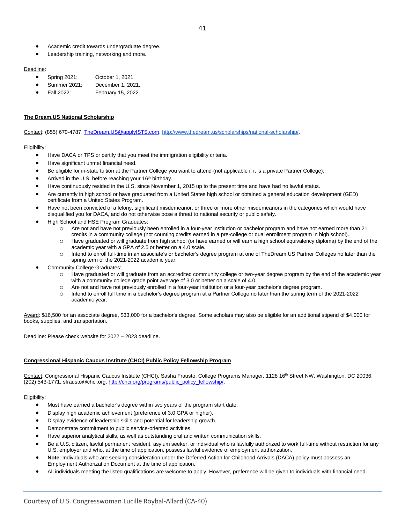- Academic credit towards undergraduate degree.
- Leadership training, networking and more.

#### Deadline:

- Spring 2021: October 1, 2021.
- Summer 2021: December 1, 2021.
- Fall 2022: February 15, 2022.

#### **The Dream.US National Scholarship**

Contact: (855) 670-4787[, TheDream.US@applyISTS.com,](mailto:TheDream.US@applyISTS.com) [http://www.thedream.us/scholarships/national-scholarship/.](http://www.thedream.us/scholarships/national-scholarship/)

#### Eligibility:

- Have DACA or TPS or certify that you meet the immigration eligibility criteria.
- Have significant unmet financial need.
- Be eligible for in-state tuition at the Partner College you want to attend (not applicable if it is a private Partner College).
- Arrived in the U.S. before reaching your 16<sup>th</sup> birthday.
- Have continuously resided in the U.S. since November 1, 2015 up to the present time and have had no lawful status.
- Are currently in high school or have graduated from a United States high school or obtained a general education development (GED) certificate from a United States Program.
- Have not been convicted of a felony, significant misdemeanor, or three or more other misdemeanors in the categories which would have disqualified you for DACA, and do not otherwise pose a threat to national security or public safety.
- High School and HSE Program Graduates:
	- Are not and have not previously been enrolled in a four-year institution or bachelor program and have not earned more than 21 credits in a community college (not counting credits earned in a pre-college or dual enrollment program in high school).
	- o Have graduated or will graduate from high school (or have earned or will earn a high school equivalency diploma) by the end of the academic year with a GPA of 2.5 or better on a 4.0 scale.
	- o Intend to enroll full-time in an associate's or bachelor's degree program at one of TheDream.US Partner Colleges no later than the spring term of the 2021-2022 academic year.
- Community College Graduates:
	- o Have graduated or will graduate from an accredited community college or two-year degree program by the end of the academic year with a community college grade point average of 3.0 or better on a scale of 4.0.
	- o Are not and have not previously enrolled in a four-year institution or a four-year bachelor's degree program.
	- o Intend to enroll full time in a bachelor's degree program at a Partner College no later than the spring term of the 2021-2022 academic year.

Award: \$16,500 for an associate degree, \$33,000 for a bachelor's degree. Some scholars may also be eligible for an additional stipend of \$4,000 for books, supplies, and transportation.

Deadline: Please check website for 2022 – 2023 deadline.

#### **Congressional Hispanic Caucus Institute (CHCI) Public Policy Fellowship Program**

Contact: Congressional Hispanic Caucus Institute (CHCI), Sasha Frausto, College Programs Manager, 1128 16<sup>th</sup> Street NW, Washington, DC 20036, (202) 543-1771, sfrausto@chci.org, [http://chci.org/programs/public\\_policy\\_fellowship/.](http://chci.org/programs/public_policy_fellowship/)

- Must have earned a bachelor's degree within two years of the program start date.
- Display high academic achievement (preference of 3.0 GPA or higher).
- Display evidence of leadership skills and potential for leadership growth.
- Demonstrate commitment to public service-oriented activities.
- Have superior analytical skills, as well as outstanding oral and written communication skills.
- Be a U.S. citizen, lawful permanent resident, asylum seeker, or individual who is lawfully authorized to work full-time without restriction for any U.S. employer and who, at the time of application, possess lawful evidence of employment authorization.
- **Note**: Individuals who are seeking consideration under the Deferred Action for Childhood Arrivals (DACA) policy must possess an Employment Authorization Document at the time of application.
- All individuals meeting the listed qualifications are welcome to apply. However, preference will be given to individuals with financial need.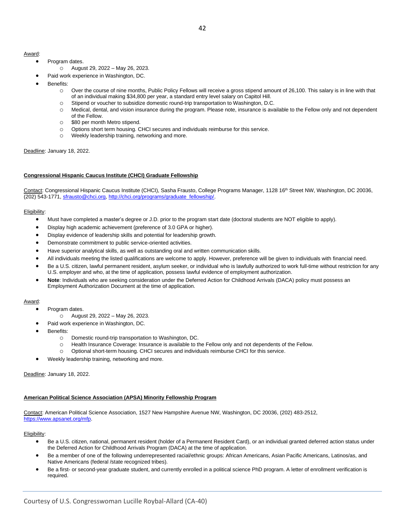#### Award:

- Program dates.
	- o August 29, 2022 May 26, 2023.
	- Paid work experience in Washington, DC.
- Benefits:
	- o Over the course of nine months, Public Policy Fellows will receive a gross stipend amount of 26,100. This salary is in line with that of an individual making \$34,800 per year, a standard entry level salary on Capitol Hill.
	- o Stipend or voucher to subsidize domestic round-trip transportation to Washington, D.C.
	- o Medical, dental, and vision insurance during the program. Please note, insurance is available to the Fellow only and not dependent of the Fellow.
	- o \$80 per month Metro stipend.
	- o Options short term housing. CHCI secures and individuals reimburse for this service.
	- o Weekly leadership training, networking and more.

#### Deadline: January 18, 2022.

#### **Congressional Hispanic Caucus Institute (CHCI) Graduate Fellowship**

Contact: Congressional Hispanic Caucus Institute (CHCI), Sasha Frausto, College Programs Manager, 1128 16<sup>th</sup> Street NW, Washington, DC 20036, (202) 543-1771, [sfrausto@chci.org,](mailto:sfrausto@chci.org) [http://chci.org/programs/graduate\\_fellowship/.](http://chci.org/programs/graduate_fellowship/)

#### Eligibility:

- Must have completed a master's degree or J.D. prior to the program start date (doctoral students are NOT eligible to apply).
- Display high academic achievement (preference of 3.0 GPA or higher).
- Display evidence of leadership skills and potential for leadership growth.
- Demonstrate commitment to public service-oriented activities.
- Have superior analytical skills, as well as outstanding oral and written communication skills.
- All individuals meeting the listed qualifications are welcome to apply. However, preference will be given to individuals with financial need.
- Be a U.S. citizen, lawful permanent resident, asylum seeker, or individual who is lawfully authorized to work full-time without restriction for any U.S. employer and who, at the time of application, possess lawful evidence of employment authorization.
- **Note**: Individuals who are seeking consideration under the Deferred Action for Childhood Arrivals (DACA) policy must possess an Employment Authorization Document at the time of application.

#### Award:

- Program dates.
- o August 29, 2022 May 26, 2023.
- Paid work experience in Washington, DC.
- Benefits:
	- o Domestic round-trip transportation to Washington, DC.
	- o Health Insurance Coverage: Insurance is available to the Fellow only and not dependents of the Fellow.
	- o Optional short-term housing. CHCI secures and individuals reimburse CHCI for this service.
- Weekly leadership training, networking and more.

#### Deadline: January 18, 2022.

#### **American Political Science Association (APSA) Minority Fellowship Program**

Contact: American Political Science Association, 1527 New Hampshire Avenue NW, Washington, DC 20036, (202) 483-2512, [https://www.apsanet.org/mfp.](https://www.apsanet.org/mfp)

- Be a U.S. citizen, national, permanent resident (holder of a Permanent Resident Card), or an individual granted deferred action status under the Deferred Action for Childhood Arrivals Program (DACA) at the time of application.
- Be a member of one of the following underrepresented racial/ethnic groups: African Americans, Asian Pacific Americans, Latinos/as, and Native Americans (federal /state recognized tribes).
- Be a first- or second-year graduate student, and currently enrolled in a political science PhD program. A letter of enrollment verification is required.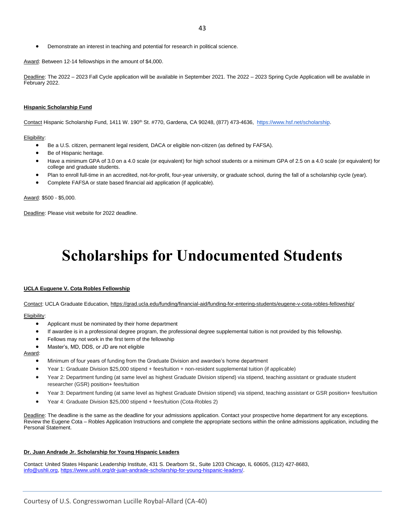• Demonstrate an interest in teaching and potential for research in political science.

Award: Between 12-14 fellowships in the amount of \$4,000.

Deadline: The 2022 - 2023 Fall Cycle application will be available in September 2021. The 2022 - 2023 Spring Cycle Application will be available in February 2022.

#### **Hispanic Scholarship Fund**

Contact Hispanic Scholarship Fund, 1411 W. 190<sup>th</sup> St. #770, Gardena, CA 90248, (877) 473-4636, [https://www.hsf.net/scholarship.](https://www.hsf.net/scholarship)

#### Eligibility:

- Be a U.S. citizen, permanent legal resident, DACA or eligible non-citizen (as defined by FAFSA).
- Be of Hispanic heritage.
- Have a minimum GPA of 3.0 on a 4.0 scale (or equivalent) for high school students or a minimum GPA of 2.5 on a 4.0 scale (or equivalent) for college and graduate students.
- Plan to enroll full-time in an accredited, not-for-profit, four-year university, or graduate school, during the fall of a scholarship cycle (year).
- Complete FAFSA or state based financial aid application (if applicable).

Award: \$500 - \$5,000.

<span id="page-42-0"></span>Deadline: Please visit website for 2022 deadline.

## **Scholarships for Undocumented Students**

#### **UCLA Euguene V. Cota Robles Fellowship**

Contact: UCLA Graduate Education,<https://grad.ucla.edu/funding/financial-aid/funding-for-entering-students/eugene-v-cota-robles-fellowship/>

#### Eligibility:

- Applicant must be nominated by their home department
- If awardee is in a professional degree program, the professional degree supplemental tuition is not provided by this fellowship.
- Fellows may not work in the first term of the fellowship
- Master's, MD, DDS, or JD are not eligible

#### Award:

- Minimum of four years of funding from the Graduate Division and awardee's home department
- Year 1: Graduate Division \$25,000 stipend + fees/tuition + non-resident supplemental tuition (if applicable)
- Year 2: Department funding (at same level as highest Graduate Division stipend) via stipend, teaching assistant or graduate student researcher (GSR) position+ fees/tuition
- Year 3: Department funding (at same level as highest Graduate Division stipend) via stipend, teaching assistant or GSR position+ fees/tuition
- Year 4: Graduate Division \$25,000 stipend + fees/tuition (Cota-Robles 2)

Deadline: The deadline is the same as the deadline for your admissions application. Contact your prospective home department for any exceptions. Review the Eugene Cota – Robles Application Instructions and complete the appropriate sections within the online admissions application, including the Personal Statement.

#### **Dr. Juan Andrade Jr. Scholarship for Young Hispanic Leaders**

Contact: United States Hispanic Leadership Institute, 431 S. Dearborn St., Suite 1203 Chicago, IL 60605, (312) 427-8683, [info@ushli.org,](mailto:info@ushli.org) [https://www.ushli.org/dr-juan-andrade-scholarship-for-young-hispanic-leaders/.](https://www.ushli.org/dr-juan-andrade-scholarship-for-young-hispanic-leaders/)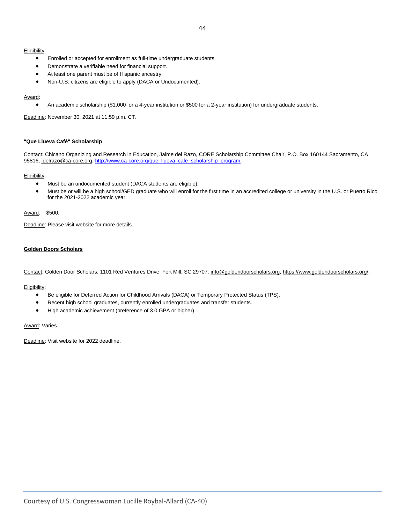#### Eligibility:

- Enrolled or accepted for enrollment as full-time undergraduate students.
- Demonstrate a verifiable need for financial support.
- At least one parent must be of Hispanic ancestry.
- Non-U.S. citizens are eligible to apply (DACA or Undocumented).

#### Award:

• An academic scholarship (\$1,000 for a 4-year institution or \$500 for a 2-year institution) for undergraduate students.

Deadline: November 30, 2021 at 11:59 p.m. CT.

#### **"Que Llueva Café" Scholarship**

Contact: Chicano Organizing and Research in Education, Jaime del Razo, CORE Scholarship Committee Chair, P.O. Box 160144 Sacramento, CA 95816[, jdelrazo@ca-core.org,](mailto:jdelrazo@ca-core.org) [http://www.ca-core.org/que\\_llueva\\_cafe\\_scholarship\\_program.](http://www.ca-core.org/que_llueva_cafe_scholarship_program)

#### Eligibility:

- Must be an undocumented student (DACA students are eligible).
- Must be or will be a high school/GED graduate who will enroll for the first time in an accredited college or university in the U.S. or Puerto Rico for the 2021-2022 academic year.

#### Award: \$500.

Deadline: Please visit website for more details.

#### **Golden Doors Scholars**

Contact: Golden Door Scholars, 1101 Red Ventures Drive, Fort Mill, SC 29707[, info@goldendoorscholars.org,](mailto:info@goldendoorscholars.org) [https://www.goldendoorscholars.org/.](https://www.goldendoorscholars.org/)

#### Eligibility:

- Be eligible for Deferred Action for Childhood Arrivals (DACA) or Temporary Protected Status (TPS).
- Recent high school graduates, currently enrolled undergraduates and transfer students.
- High academic achievement (preference of 3.0 GPA or higher)

#### Award: Varies.

Deadline: Visit website for 2022 deadline.